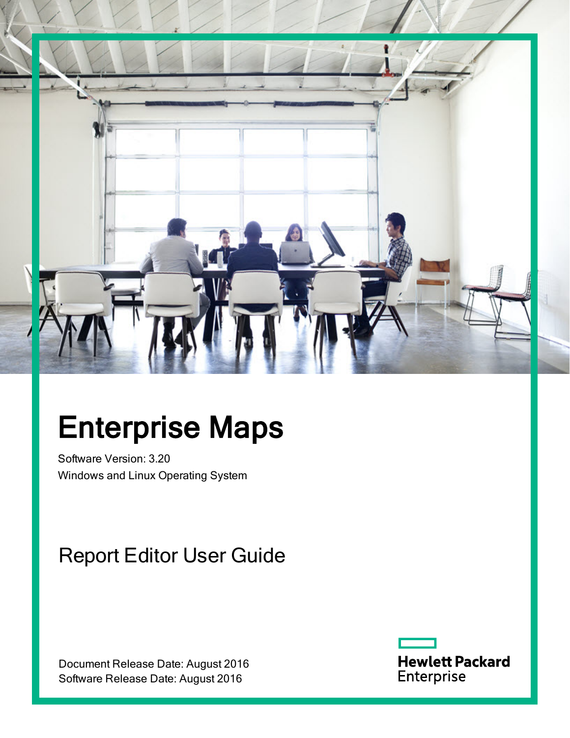

# Enterprise Maps

Software Version: 3.20 Windows and Linux Operating System

## Report Editor User Guide

Document Release Date: August 2016 Software Release Date: August 2016

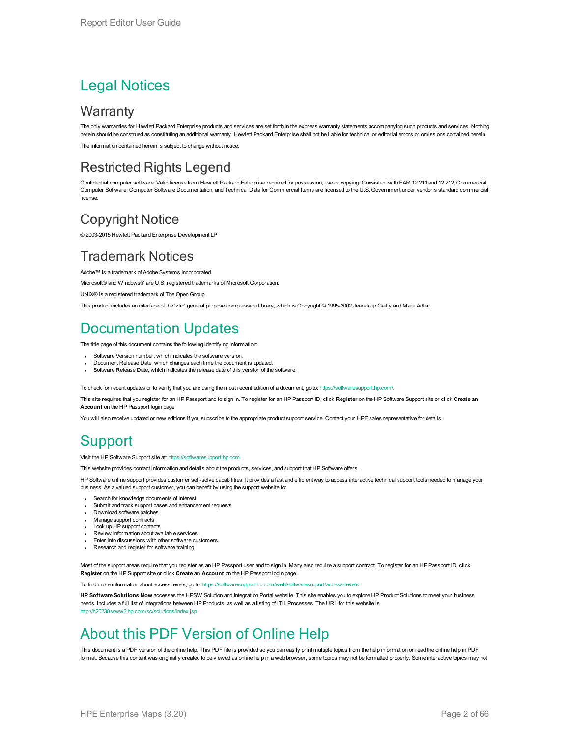### Legal Notices

#### **Warranty**

The only warranties for Hewlett Packard Enterprise products and services are set forth in the express warranty statements accompanying such products and services. Nothing herein should be construed as constituting an additional warranty. Hewlett Packard Enterprise shall not be liable for technical or editorial errors or omissions contained herein. The information contained herein is subject to change without notice.

#### Restricted Rights Legend

Confidential computer software. Valid license from Hewlett Packard Enterprise required for possession, use or copying. Consistent with FAR 12.211 and 12.212, Commercial Computer Software, Computer Software Documentation, and Technical Data for Commercial Items are licensed to the U.S. Government under vendor's standard commercial license.

#### Copyright Notice

© 2003-2015 Hewlett Packard Enterprise Development LP

#### Trademark Notices

Adobe™ is a trademark of Adobe Systems Incorporated.

Microsoft® and Windows® are U.S. registered trademarks of Microsoft Corporation.

UNIX® is a registered trademark of The Open Group.

This product includes an interface of the 'zlib' general purpose compression library, which is Copyright © 1995-2002 Jean-loup Gailly and Mark Adler.

#### Documentation Updates

The title page of this document contains the following identifying information:

- Software Version number, which indicates the software version.
- Document Release Date, which changes each time the document is updated.
- Software Release Date, which indicates the release date of this version of the software.

To check for recent updates or to verify that you are using the most recent edition of a document, go to: <https://softwaresupport.hp.com/>.

This site requires that you register for an HP Passport and to sign in. To register for an HP Passport ID, click **Register** on the HP Software Support site or click **Create an Account** on the HP Passport login page.

You will also receive updated or new editions if you subscribe to the appropriate product support service. Contact your HPE sales representative for details.

### **Support**

Visit the HP Software Support site at: [https://softwaresupport.hp.com](https://softwaresupport.hp.com/).

This website provides contact information and details about the products, services, and support that HP Software offers.

HP Software online support provides customer self-solve capabilities. It provides a fast and efficient way to access interactive technical support tools needed to manage your business. As a valued support customer, you can benefit by using the support website to:

- Search for knowledge documents of interest
- Submit and track support cases and enhancement requests
- Download software patches
- Manage support contracts
- Look up HP support contacts
- Review information about available services
- **Enter into discussions with other software customers**
- Research and register for software training

Most of the support areas require that you register as an HP Passport user and to sign in. Many also require a support contract. To register for an HP Passport ID, click **Register** on the HP Support site or click **Create an Account** on the HP Passport login page.

To find more information about access levels, go to: [https://softwaresupport.hp.com/web/softwaresupport/access-levels.](https://softwaresupport.hp.com/web/softwaresupport/access-levels)

**HP Software Solutions Now** accesses the HPSW Solution and Integration Portal website. This site enables you to explore HP Product Solutions to meet your business needs, includes a full list of Integrations between HP Products, as well as a listing of ITIL Processes. The URL for this website is [http://h20230.www2.hp.com/sc/solutions/index.jsp.](http://h20230.www2.hp.com/sc/solutions/index.jsp)

### About this PDF Version of Online Help

This document is a PDF version of the online help. This PDF file is provided so you can easily print multiple topics from the help information or read the online help in PDF format. Because this content was originally created to be viewed as online help in a web browser, some topics may not be formatted properly. Some interactive topics may not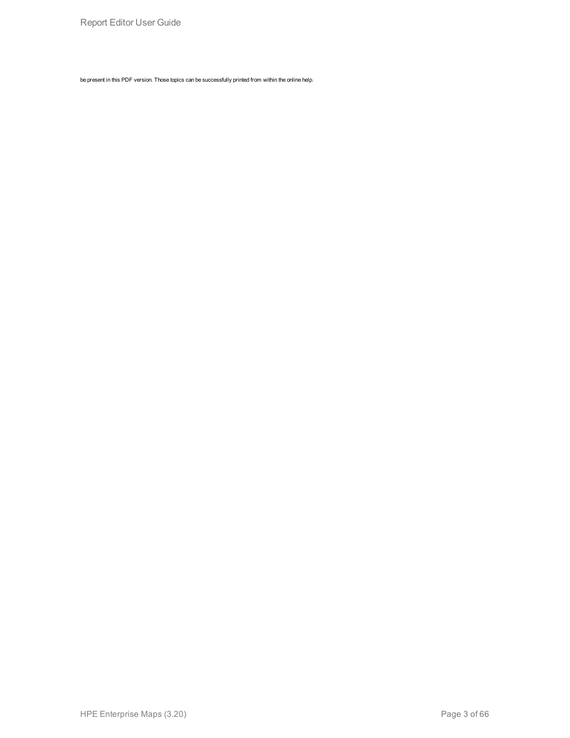be present in this PDF version. Those topics can be successfully printed from within the online help.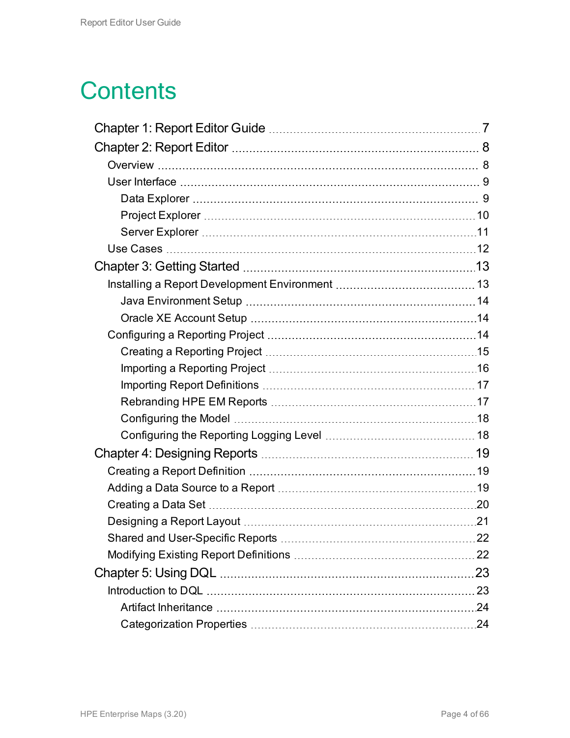## **Contents**

| 23 |
|----|
|    |
|    |
|    |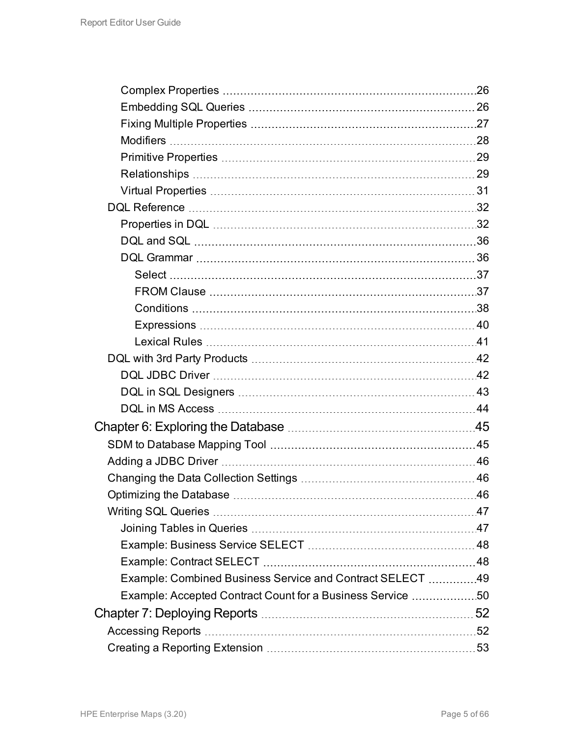|                                                            | 26  |
|------------------------------------------------------------|-----|
|                                                            |     |
|                                                            |     |
|                                                            |     |
|                                                            |     |
|                                                            |     |
|                                                            |     |
|                                                            |     |
|                                                            |     |
|                                                            |     |
|                                                            |     |
|                                                            |     |
|                                                            |     |
|                                                            |     |
|                                                            |     |
|                                                            |     |
|                                                            |     |
|                                                            |     |
|                                                            |     |
|                                                            |     |
|                                                            |     |
|                                                            |     |
|                                                            |     |
|                                                            |     |
| Optimizing the Database                                    | .46 |
|                                                            |     |
|                                                            |     |
|                                                            |     |
|                                                            |     |
| Example: Combined Business Service and Contract SELECT  49 |     |
| Example: Accepted Contract Count for a Business Service 50 |     |
|                                                            |     |
|                                                            |     |
|                                                            |     |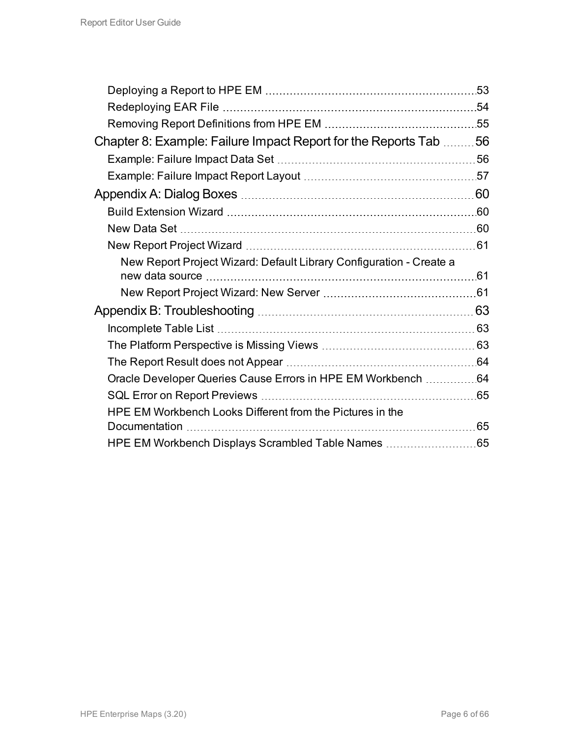|                                                                     | .53 |
|---------------------------------------------------------------------|-----|
|                                                                     |     |
|                                                                     |     |
| Chapter 8: Example: Failure Impact Report for the Reports Tab 56    |     |
|                                                                     |     |
|                                                                     |     |
|                                                                     |     |
|                                                                     |     |
|                                                                     |     |
|                                                                     |     |
| New Report Project Wizard: Default Library Configuration - Create a |     |
|                                                                     |     |
|                                                                     |     |
|                                                                     |     |
|                                                                     |     |
|                                                                     |     |
|                                                                     |     |
| Oracle Developer Queries Cause Errors in HPE EM Workbench 64        |     |
|                                                                     |     |
| HPE EM Workbench Looks Different from the Pictures in the           |     |
|                                                                     | 65  |
|                                                                     |     |
|                                                                     |     |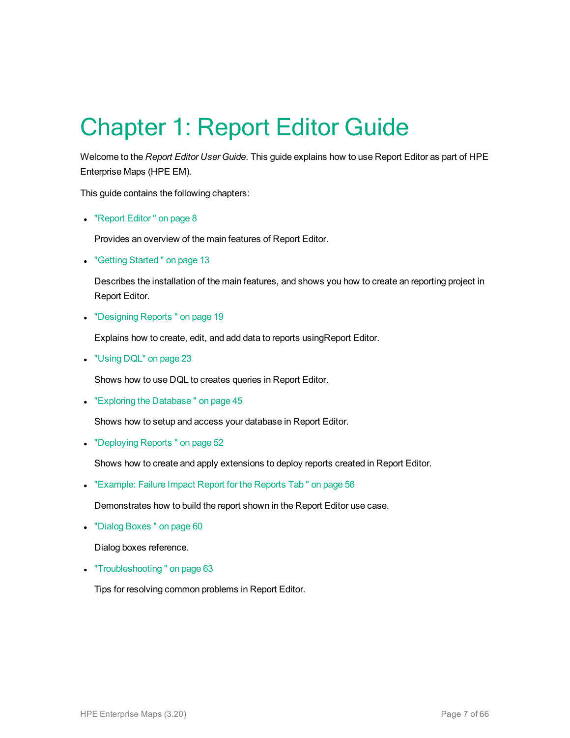## <span id="page-6-0"></span>Chapter 1: Report Editor Guide

Welcome to the *Report Editor User Guide*. This guide explains how to use Report Editor as part of HPE Enterprise Maps (HPE EM).

This guide contains the following chapters:

• ["Report](#page-7-0) Editor" on page 8

Provides an overview of the main features of Report Editor.

• "Getting Started" on page 13

Describes the installation of the main features, and shows you how to create an reporting project in Report Editor.

• ["Designing](#page-18-0) Reports" on page 19

Explains how to create, edit, and add data to reports usingReport Editor.

• ["Using](#page-22-0) DQL" on page 23

Shows how to use DQL to creates queries in Report Editor.

• "Exploring the Database" on page 45

Shows how to setup and access your database in Report Editor.

• ["Deploying](#page-51-0) Reports" on page 52

Shows how to create and apply extensions to deploy reports created in Report Editor.

• ["Example:](#page-55-0) Failure Impact Report for the Reports Tab" on page 56

Demonstrates how to build the report shown in the Report Editor use case.

• "Dialog Boxes" on page 60

Dialog boxes reference.

• "Troubleshooting" on page 63

Tips for resolving common problems in Report Editor.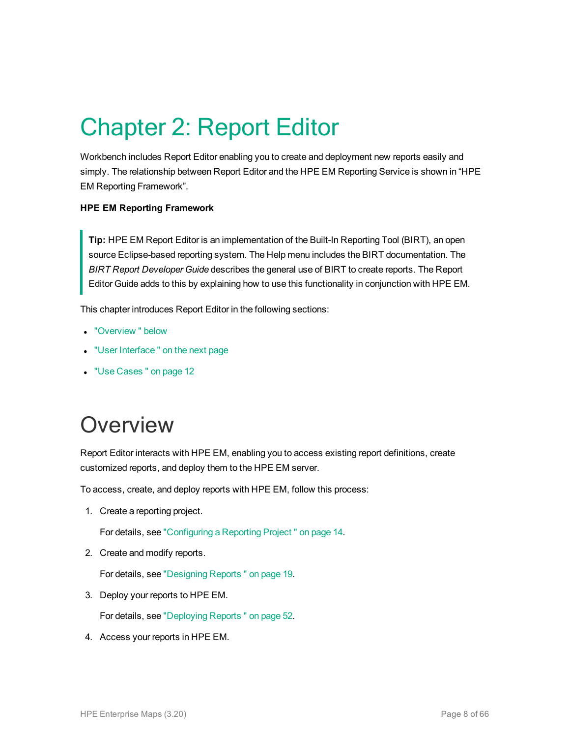## <span id="page-7-0"></span>Chapter 2: Report Editor

Workbench includes Report Editor enabling you to create and deployment new reports easily and simply. The relationship between Report Editor and the HPE EM Reporting Service is shown in "HPE EM Reporting Framework".

#### **HPE EM Reporting Framework**

**Tip:** HPE EM Report Editor is an implementation of the Built-In Reporting Tool (BIRT), an open source Eclipse-based reporting system. The Help menu includes the BIRT documentation. The *BIRT Report Developer Guide* describes the general use of BIRT to create reports. The Report Editor Guide adds to this by explaining how to use this functionality in conjunction with HPE EM.

This chapter introduces Report Editor in the following sections:

- ["Overview "](#page-7-1) below
- "User Interface" on the next page
- <span id="page-7-1"></span>**.** "Use [Cases "](#page-11-0) on page 12

### **Overview**

Report Editor interacts with HPE EM, enabling you to access existing report definitions, create customized reports, and deploy them to the HPE EM server.

To access, create, and deploy reports with HPE EM, follow this process:

1. Create a reporting project.

For details, see ["Configuring](#page-13-2) a Reporting Project " on page 14.

2. Create and modify reports.

For details, see ["Designing](#page-18-0) Reports " on page 19.

3. Deploy your reports to HPE EM.

For details, see ["Deploying](#page-51-0) Reports " on page 52.

4. Access your reports in HPE EM.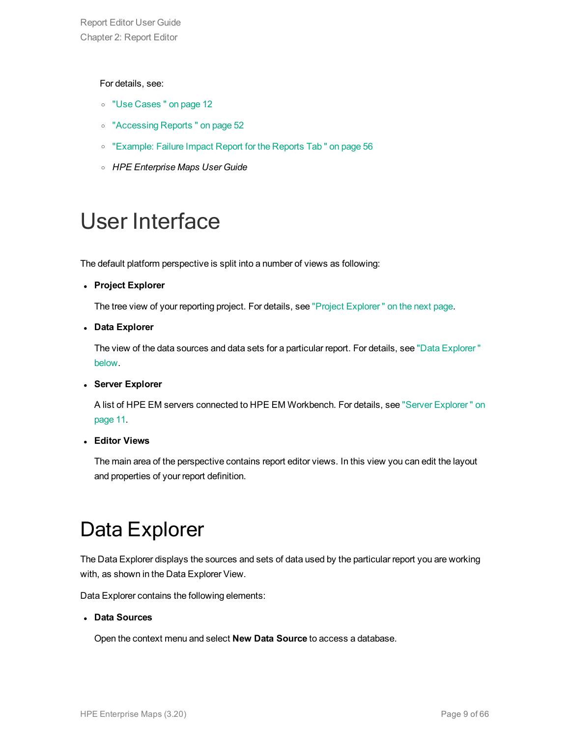#### For details, see:

- <sup>o</sup> "Use [Cases "](#page-11-0) on page 12
- <sup>o</sup> ["Accessing](#page-51-1) Reports " on page 52
- <sup>o</sup> ["Example:](#page-55-0) Failure Impact Report for the Reports Tab " on page 56
- <sup>o</sup> *HPE Enterprise Maps User Guide*

### <span id="page-8-0"></span>User Interface

The default platform perspective is split into a number of views as following:

<sup>l</sup> **Project Explorer**

The tree view of your reporting project. For details, see "Project [Explorer "](#page-9-0) on the next page.

<sup>l</sup> **Data Explorer**

The view of the data sources and data sets for a particular report. For details, see "Data [Explorer "](#page-8-1) [below.](#page-8-1)

<sup>l</sup> **Server Explorer**

A list of HPE EM servers connected to HPE EM Workbench. For details, see "Server [Explorer "](#page-10-0) on [page](#page-10-0) 11.

<sup>l</sup> **Editor Views**

<span id="page-8-1"></span>The main area of the perspective contains report editor views. In this view you can edit the layout and properties of your report definition.

### Data Explorer

The Data Explorer displays the sources and sets of data used by the particular report you are working with, as shown in the Data Explorer View.

Data Explorer contains the following elements:

#### <sup>l</sup> **Data Sources**

Open the context menu and select **New Data Source** to access a database.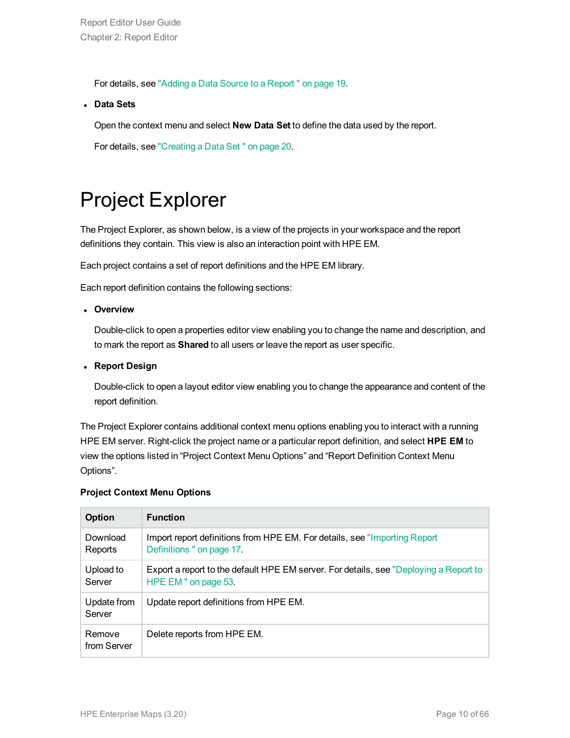For details, see "Adding a Data Source to a [Report "](#page-18-2) on page 19.

<sup>l</sup> **Data Sets**

Open the context menu and select **New Data Set** to define the data used by the report.

<span id="page-9-0"></span>For details, see ["Creating](#page-19-0) a Data Set " on page 20.

### Project Explorer

The Project Explorer, as shown below, is a view of the projects in your workspace and the report definitions they contain. This view is also an interaction point with HPE EM.

Each project contains a set of report definitions and the HPE EM library.

Each report definition contains the following sections:

<sup>l</sup> **Overview**

Double-click to open a properties editor view enabling you to change the name and description, and to mark the report as **Shared** to all users or leave the report as user specific.

<sup>l</sup> **Report Design**

Double-click to open a layout editor view enabling you to change the appearance and content of the report definition.

The Project Explorer contains additional context menu options enabling you to interact with a running HPE EM server. Right-click the project name or a particular report definition, and select **HPE EM** to view the options listed in "Project Context Menu Options" and "Report Definition Context Menu Options".

#### **Project Context Menu Options**

| Option                | <b>Function</b>                                                                                               |
|-----------------------|---------------------------------------------------------------------------------------------------------------|
| Download<br>Reports   | Import report definitions from HPE EM. For details, see "Importing Report<br>Definitions " on page 17.        |
| Upload to<br>Server   | Export a report to the default HPE EM server. For details, see "Deploying a Report to<br>HPE EM " on page 53. |
| Update from<br>Server | Update report definitions from HPE EM.                                                                        |
| Remove<br>from Server | Delete reports from HPE EM.                                                                                   |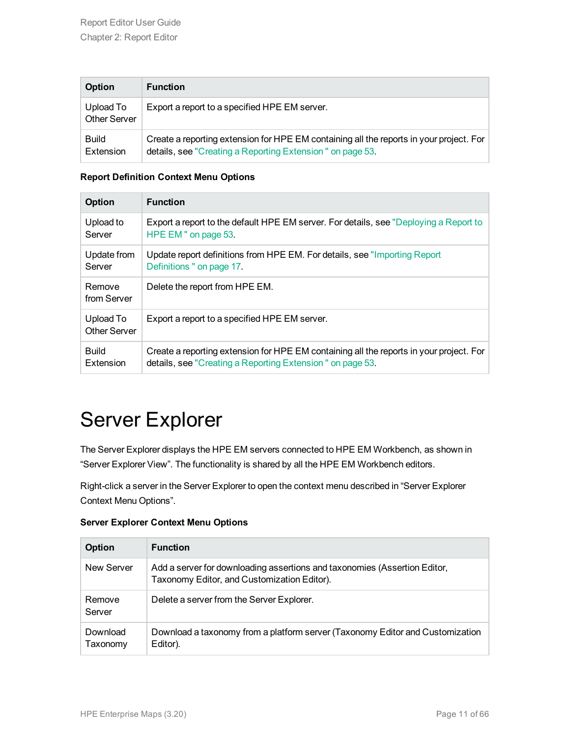| <b>Option</b>                    | <b>Function</b>                                                                                                                                      |
|----------------------------------|------------------------------------------------------------------------------------------------------------------------------------------------------|
| Upload To<br><b>Other Server</b> | Export a report to a specified HPE EM server.                                                                                                        |
| <b>Build</b><br>Extension        | Create a reporting extension for HPE EM containing all the reports in your project. For<br>details, see "Creating a Reporting Extension" on page 53. |

#### **Report Definition Context Menu Options**

| <b>Option</b>             | <b>Function</b>                                                                         |
|---------------------------|-----------------------------------------------------------------------------------------|
| Upload to                 | Export a report to the default HPE EM server. For details, see "Deploying a Report to   |
| Server                    | HPE EM " on page 53.                                                                    |
| Update from               | Update report definitions from HPE EM. For details, see "Importing Report"              |
| Server                    | Definitions " on page 17.                                                               |
| Remove<br>from Server     | Delete the report from HPE EM.                                                          |
| Upload To<br>Other Server | Export a report to a specified HPE EM server.                                           |
| <b>Build</b>              | Create a reporting extension for HPE EM containing all the reports in your project. For |
| Extension                 | details, see "Creating a Reporting Extension" on page 53.                               |

### <span id="page-10-0"></span>Server Explorer

The Server Explorer displays the HPE EM servers connected to HPE EM Workbench, as shown in "Server Explorer View". The functionality is shared by all the HPE EM Workbench editors.

Right-click a server in the Server Explorer to open the context menu described in "Server Explorer Context Menu Options".

| <b>Server Explorer Context Menu Options</b> |
|---------------------------------------------|
|---------------------------------------------|

| Option               | <b>Function</b>                                                                                                          |  |
|----------------------|--------------------------------------------------------------------------------------------------------------------------|--|
| New Server           | Add a server for downloading assertions and taxonomies (Assertion Editor,<br>Taxonomy Editor, and Customization Editor). |  |
| Remove<br>Server     | Delete a server from the Server Explorer.                                                                                |  |
| Download<br>Taxonomy | Download a taxonomy from a platform server (Taxonomy Editor and Customization<br>Editor).                                |  |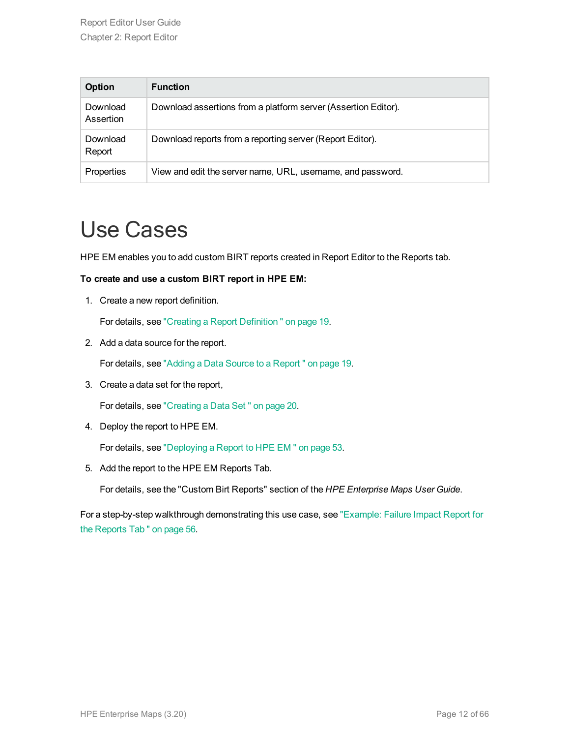| <b>Option</b>         | <b>Function</b>                                                |
|-----------------------|----------------------------------------------------------------|
| Download<br>Assertion | Download assertions from a platform server (Assertion Editor). |
| Download<br>Report    | Download reports from a reporting server (Report Editor).      |
| Properties            | View and edit the server name, URL, username, and password.    |

### <span id="page-11-0"></span>Use Cases

HPE EM enables you to add custom BIRT reports created in Report Editor to the Reports tab.

#### **To create and use a custom BIRT report in HPE EM:**

1. Create a new report definition.

For details, see "Creating a Report [Definition "](#page-18-1) on page 19.

2. Add a data source for the report.

For details, see "Adding a Data Source to a [Report "](#page-18-2) on page 19.

3. Create a data set for the report,

For details, see ["Creating](#page-19-0) a Data Set " on page 20.

4. Deploy the report to HPE EM.

For details, see ["Deploying](#page-52-1) a Report to HPE EM " on page 53.

5. Add the report to the HPE EM Reports Tab.

For details, see the "Custom Birt Reports" section of the *HPE Enterprise Maps User Guide*.

For a step-by-step walkthrough demonstrating this use case, see ["Example:](#page-55-0) Failure Impact Report for the [Reports](#page-55-0) Tab " on page 56.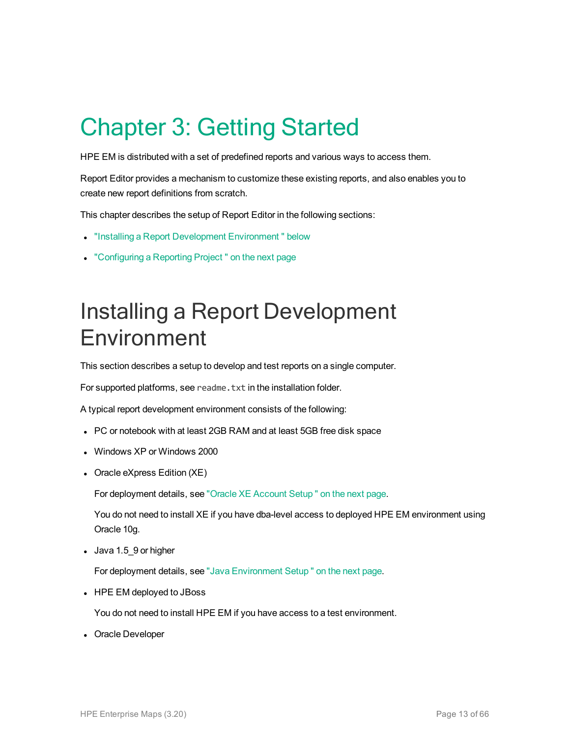# <span id="page-12-0"></span>Chapter 3: Getting Started

HPE EM is distributed with a set of predefined reports and various ways to access them.

Report Editor provides a mechanism to customize these existing reports, and also enables you to create new report definitions from scratch.

This chapter describes the setup of Report Editor in the following sections:

- "Installing a Report Development Environment" below
- <span id="page-12-1"></span>• ["Configuring](#page-13-2) a Reporting Project" on the next page

### Installing a Report Development Environment

This section describes a setup to develop and test reports on a single computer.

For supported platforms, see readme.txt in the installation folder.

A typical report development environment consists of the following:

- PC or notebook with at least 2GB RAM and at least 5GB free disk space
- Windows XP or Windows 2000
- Oracle eXpress Edition (XE)

For deployment details, see "Oracle XE [Account](#page-13-1) Setup " on the next page.

You do not need to install XE if you have dba-level access to deployed HPE EM environment using Oracle 10g.

• Java 1.5\_9 or higher

For deployment details, see "Java [Environment](#page-13-0) Setup " on the next page.

• HPE EM deployed to JBoss

You do not need to install HPE EM if you have access to a test environment.

• Oracle Developer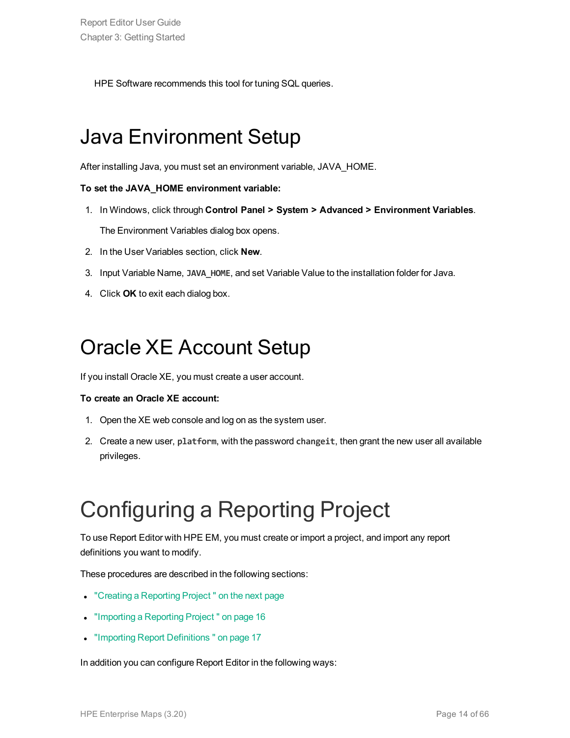<span id="page-13-0"></span>HPE Software recommends this tool for tuning SQL queries.

### Java Environment Setup

After installing Java, you must set an environment variable, JAVA\_HOME.

#### **To set the JAVA\_HOME environment variable:**

- 1. In Windows, click through **Control Panel > System > Advanced > Environment Variables**. The Environment Variables dialog box opens.
- 2. In the User Variables section, click **New**.
- 3. Input Variable Name, **JAVA\_HOME**, and set Variable Value to the installation folder for Java.
- <span id="page-13-1"></span>4. Click **OK** to exit each dialog box.

### Oracle XE Account Setup

If you install Oracle XE, you must create a user account.

#### **To create an Oracle XE account:**

- 1. Open the XE web console and log on as the system user.
- 2. Create a new user, **platform**, with the password **changeit**, then grant the new user all available privileges.

## <span id="page-13-2"></span>Configuring a Reporting Project

To use Report Editor with HPE EM, you must create or import a project, and import any report definitions you want to modify.

These procedures are described in the following sections:

- "Creating a [Reporting](#page-14-0) Project" on the next page
- ["Importing](#page-15-0) a Reporting Project" on page 16
- "Importing Report Definitions" on page 17

In addition you can configure Report Editor in the following ways: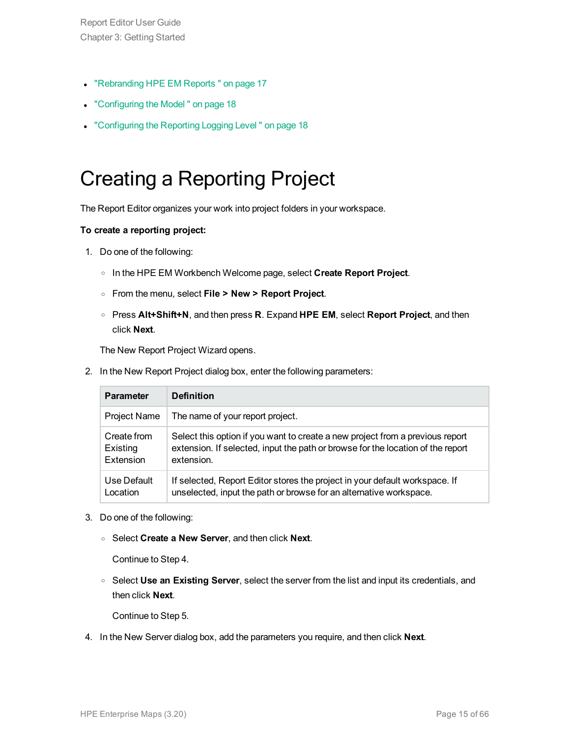Report Editor User Guide Chapter 3: Getting Started

- ["Rebranding](#page-16-1) HPE EM Reports" on page 17
- ["Configuring](#page-17-0) the Model" on page 18
- <span id="page-14-0"></span>• ["Configuring](#page-17-1) the Reporting Logging Level" on page 18

### Creating a Reporting Project

The Report Editor organizes your work into project folders in your workspace.

#### **To create a reporting project:**

- 1. Do one of the following:
	- <sup>o</sup> In the HPE EM Workbench Welcome page, select **Create Report Project**.
	- <sup>o</sup> From the menu, select **File > New > Report Project**.
	- <sup>o</sup> Press **Alt+Shift+N**, and then press **R**. Expand **HPE EM**, select **Report Project**, and then click **Next**.

The New Report Project Wizard opens.

2. In the New Report Project dialog box, enter the following parameters:

| <b>Parameter</b>    | <b>Definition</b>                                                               |
|---------------------|---------------------------------------------------------------------------------|
| <b>Project Name</b> | The name of your report project.                                                |
| Create from         | Select this option if you want to create a new project from a previous report   |
| Existing            | extension. If selected, input the path or browse for the location of the report |
| Extension           | extension.                                                                      |
| Use Default         | If selected, Report Editor stores the project in your default workspace. If     |
| Location            | unselected, input the path or browse for an alternative workspace.              |

- 3. Do one of the following:
	- <sup>o</sup> Select **Create a New Server**, and then click **Next**.

Continue to Step 4.

<sup>o</sup> Select **Use an Existing Server**, select the server from the list and input its credentials, and then click **Next**.

Continue to Step 5.

4. In the New Server dialog box, add the parameters you require, and then click **Next**.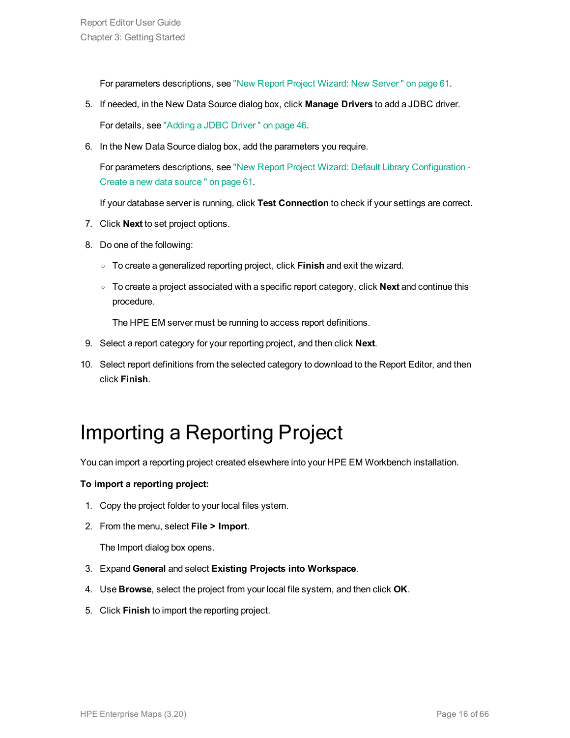For parameters descriptions, see "New Report Project Wizard: New [Server "](#page-60-2) on page 61.

- 5. If needed, in the New Data Source dialog box, click **Manage Drivers** to add a JDBC driver. For details, see ["Adding](#page-45-0) a JDBC Driver " on page 46.
- 6. In the New Data Source dialog box, add the parameters you require.

For parameters descriptions, see "New Report Project Wizard: Default Library [Configuration](#page-60-1) - Create a new data [source "](#page-60-1) on page 61.

If your database server is running, click **Test Connection** to check if your settings are correct.

- 7. Click **Next** to set project options.
- 8. Do one of the following:
	- <sup>o</sup> To create a generalized reporting project, click **Finish** and exit the wizard.
	- <sup>o</sup> To create a project associated with a specific report category, click **Next** and continue this procedure.

The HPE EM server must be running to access report definitions.

- 9. Select a report category for your reporting project, and then click **Next**.
- <span id="page-15-0"></span>10. Select report definitions from the selected category to download to the Report Editor, and then click **Finish**.

### Importing a Reporting Project

You can import a reporting project created elsewhere into your HPE EM Workbench installation.

#### **To import a reporting project:**

- 1. Copy the project folder to your local files ystem.
- 2. From the menu, select **File > Import**.

The Import dialog box opens.

- 3. Expand **General** and select **Existing Projects into Workspace**.
- 4. Use **Browse**, select the project from your local file system, and then click **OK**.
- 5. Click **Finish** to import the reporting project.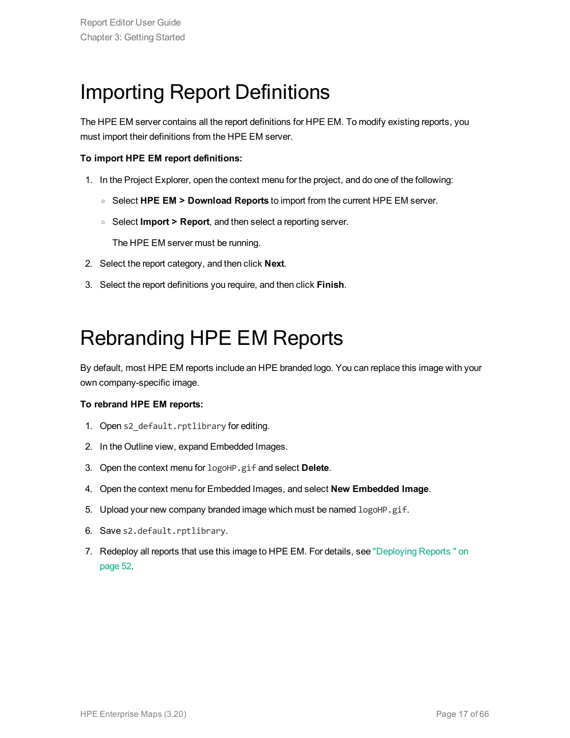### <span id="page-16-0"></span>Importing Report Definitions

The HPE EM server contains all the report definitions for HPE EM. To modify existing reports, you must import their definitions from the HPE EM server.

#### **To import HPE EM report definitions:**

- 1. In the Project Explorer, open the context menu for the project, and do one of the following:
	- <sup>o</sup> Select **HPE EM > Download Reports** to import from the current HPE EM server.
	- <sup>o</sup> Select **Import > Report**, and then select a reporting server.

The HPE EM server must be running.

- 2. Select the report category, and then click **Next**.
- <span id="page-16-1"></span>3. Select the report definitions you require, and then click **Finish**.

### Rebranding HPE EM Reports

By default, most HPE EM reports include an HPE branded logo. You can replace this image with your own company-specific image.

#### **To rebrand HPE EM reports:**

- 1. Open s2 default.rptlibrary for editing.
- 2. In the Outline view, expand Embedded Images.
- 3. Open the context menu for logoHP.gif and select **Delete**.
- 4. Open the context menu for Embedded Images, and select **New Embedded Image**.
- 5. Upload your new company branded image which must be named logoHP.gif.
- 6. Save s2.default.rptlibrary.
- 7. Redeploy all reports that use this image to HPE EM. For details, see ["Deploying](#page-51-0) Reports " on [page](#page-51-0) 52.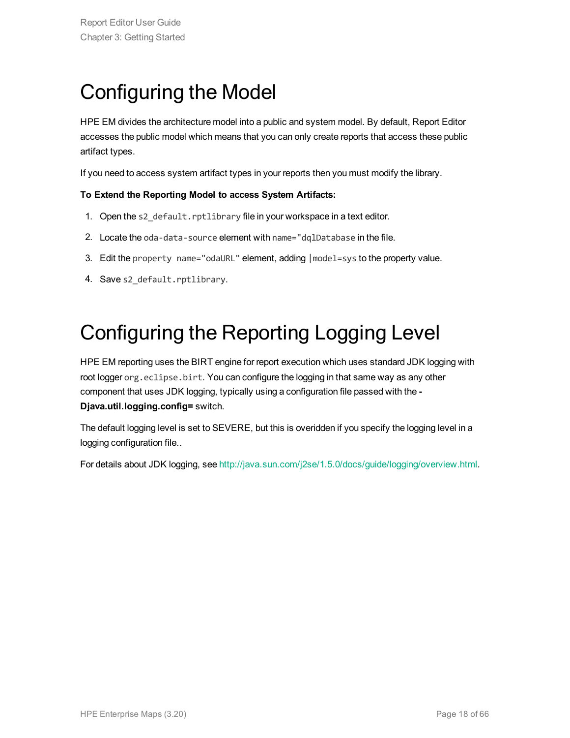### <span id="page-17-0"></span>Configuring the Model

HPE EM divides the architecture model into a public and system model. By default, Report Editor accesses the public model which means that you can only create reports that access these public artifact types.

If you need to access system artifact types in your reports then you must modify the library.

#### **To Extend the Reporting Model to access System Artifacts:**

- 1. Open the s2 default.rptlibrary file in your workspace in a text editor.
- 2. Locate the oda-data-source element with name="dqlDatabase in the file.
- 3. Edit the property name="odaURL" element, adding |model=sys to the property value.
- <span id="page-17-1"></span>4. Save s2 default.rptlibrary.

### Configuring the Reporting Logging Level

HPE EM reporting uses the BIRT engine for report execution which uses standard JDK logging with root logger org.eclipse.birt. You can configure the logging in that same way as any other component that uses JDK logging, typically using a configuration file passed with the **- Djava.util.logging.config=** switch.

The default logging level is set to SEVERE, but this is overidden if you specify the logging level in a logging configuration file..

For details about JDK logging, see <http://java.sun.com/j2se/1.5.0/docs/guide/logging/overview.html>.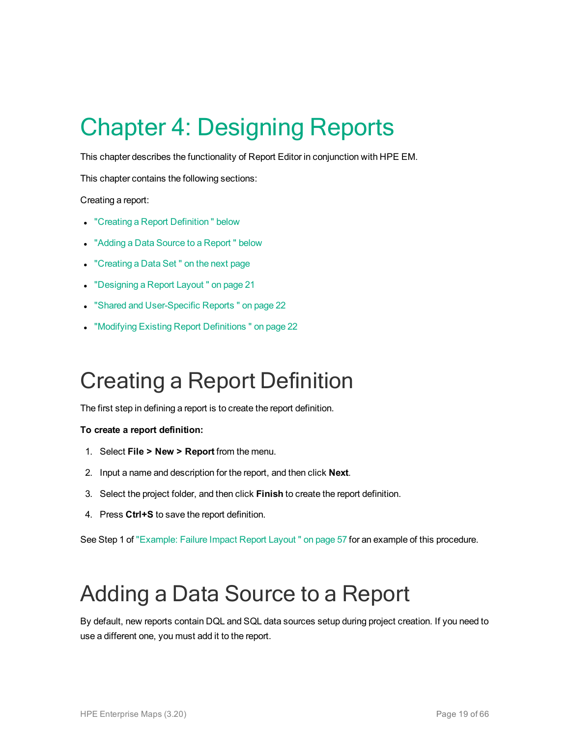# <span id="page-18-0"></span>Chapter 4: Designing Reports

This chapter describes the functionality of Report Editor in conjunction with HPE EM.

This chapter contains the following sections:

Creating a report:

- "Creating a Report Definition" below
- "Adding a Data Source to a Report" below
- ["Creating](#page-19-0) a Data Set" on the next page
- ["Designing](#page-20-0) a Report Layout" on page 21
- **.** "Shared and [User-Specific](#page-21-0) Reports " on page 22
- <span id="page-18-1"></span>**.** "Modifying Existing Report [Definitions "](#page-21-1) on page 22

### Creating a Report Definition

The first step in defining a report is to create the report definition.

#### **To create a report definition:**

- 1. Select **File > New > Report** from the menu.
- 2. Input a name and description for the report, and then click **Next**.
- 3. Select the project folder, and then click **Finish** to create the report definition.
- 4. Press **Ctrl+S** to save the report definition.

<span id="page-18-2"></span>See Step 1 of ["Example:](#page-56-0) Failure Impact Report Layout " on page 57 for an example of this procedure.

### Adding a Data Source to a Report

By default, new reports contain DQL and SQL data sources setup during project creation. If you need to use a different one, you must add it to the report.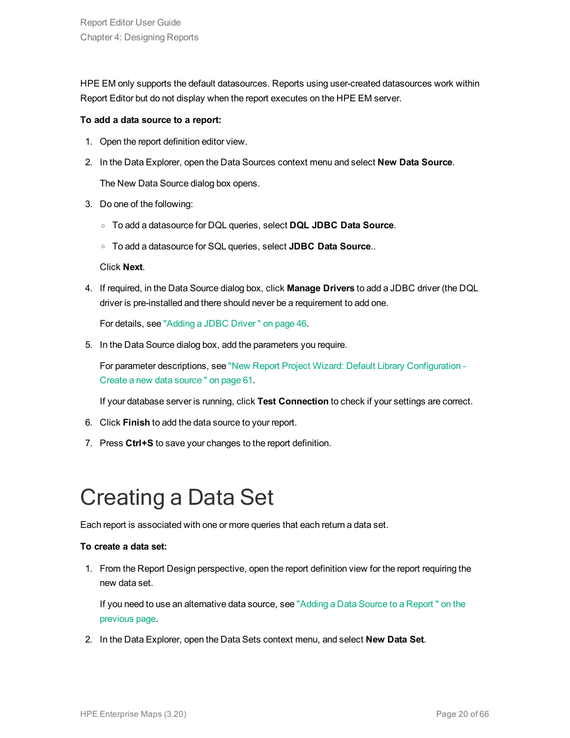HPE EM only supports the default datasources. Reports using user-created datasources work within Report Editor but do not display when the report executes on the HPE EM server.

#### **To add a data source to a report:**

- 1. Open the report definition editor view.
- 2. In the Data Explorer, open the Data Sources context menu and select **New Data Source**.

The New Data Source dialog box opens.

- 3. Do one of the following:
	- <sup>o</sup> To add a datasource for DQL queries, select **DQL JDBC Data Source**.
	- <sup>o</sup> To add a datasource for SQL queries, select **JDBC Data Source**..

Click **Next**.

4. If required, in the Data Source dialog box, click **Manage Drivers** to add a JDBC driver (the DQL driver is pre-installed and there should never be a requirement to add one.

For details, see ["Adding](#page-45-0) a JDBC Driver " on page 46.

5. In the Data Source dialog box, add the parameters you require.

For parameter descriptions, see "New Report Project Wizard: Default Library [Configuration](#page-60-1) - Create a new data [source "](#page-60-1) on page 61.

If your database server is running, click **Test Connection** to check if your settings are correct.

- 6. Click **Finish** to add the data source to your report.
- <span id="page-19-0"></span>7. Press **Ctrl+S** to save your changes to the report definition.

## Creating a Data Set

Each report is associated with one or more queries that each return a data set.

#### **To create a data set:**

1. From the Report Design perspective, open the report definition view for the report requiring the new data set.

If you need to use an alternative data source, see "Adding a Data Source to a [Report "](#page-18-2) on the [previous](#page-18-2) page.

2. In the Data Explorer, open the Data Sets context menu, and select **New Data Set**.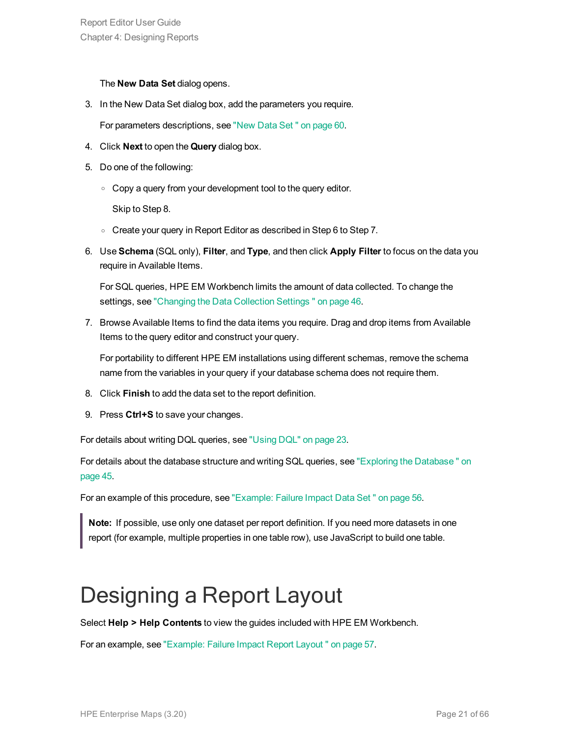The **New Data Set** dialog opens.

3. In the New Data Set dialog box, add the parameters you require.

For parameters descriptions, see ["New](#page-59-2) Data Set " on page 60.

- 4. Click **Next** to open the **Query** dialog box.
- 5. Do one of the following:
	- Copy a query from your development tool to the query editor.

Skip to Step 8.

- <sup>o</sup> Create your query in Report Editor as described in Step 6 to Step 7.
- 6. Use **Schema** (SQL only), **Filter**, and **Type**, and then click **Apply Filter** to focus on the data you require in Available Items.

For SQL queries, HPE EM Workbench limits the amount of data collected. To change the settings, see ["Changing](#page-45-1) the Data Collection Settings " on page 46.

7. Browse Available Items to find the data items you require. Drag and drop items from Available Items to the query editor and construct your query.

For portability to different HPE EM installations using different schemas, remove the schema name from the variables in your query if your database schema does not require them.

- 8. Click **Finish** to add the data set to the report definition.
- 9. Press **Ctrl+S** to save your changes.

For details about writing DQL queries, see ["Using](#page-22-0) DQL" on page 23.

For details about the database structure and writing SQL queries, see "Exploring the Database" on [page](#page-44-0) 45.

For an example of this procedure, see ["Example:](#page-55-1) Failure Impact Data Set " on page 56.

**Note:** If possible, use only one dataset per report definition. If you need more datasets in one report (for example, multiple properties in one table row), use JavaScript to build one table.

### <span id="page-20-0"></span>Designing a Report Layout

Select **Help > Help Contents** to view the guides included with HPE EM Workbench.

For an example, see ["Example:](#page-56-0) Failure Impact Report Layout " on page 57.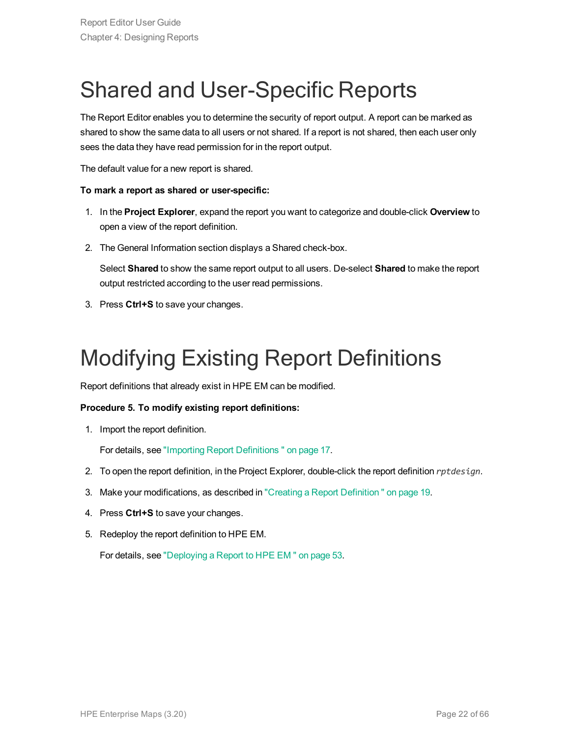## <span id="page-21-0"></span>Shared and User-Specific Reports

The Report Editor enables you to determine the security of report output. A report can be marked as shared to show the same data to all users or not shared. If a report is not shared, then each user only sees the data they have read permission for in the report output.

The default value for a new report is shared.

#### **To mark a report as shared or user-specific:**

- 1. In the **Project Explorer**, expand the report you want to categorize and double-click **Overview** to open a view of the report definition.
- 2. The General Information section displays a Shared check-box.

Select **Shared** to show the same report output to all users. De-select **Shared** to make the report output restricted according to the user read permissions.

<span id="page-21-1"></span>3. Press **Ctrl+S** to save your changes.

## Modifying Existing Report Definitions

Report definitions that already exist in HPE EM can be modified.

#### **Procedure 5. To modify existing report definitions:**

1. Import the report definition.

For details, see "Importing Report [Definitions "](#page-16-0) on page 17.

- 2. To open the report definition, in the Project Explorer, double-click the report definition *rptdesign*.
- 3. Make your modifications, as described in "Creating a Report [Definition "](#page-18-1) on page 19.
- 4. Press **Ctrl+S** to save your changes.
- 5. Redeploy the report definition to HPE EM.

For details, see ["Deploying](#page-52-1) a Report to HPE EM " on page 53.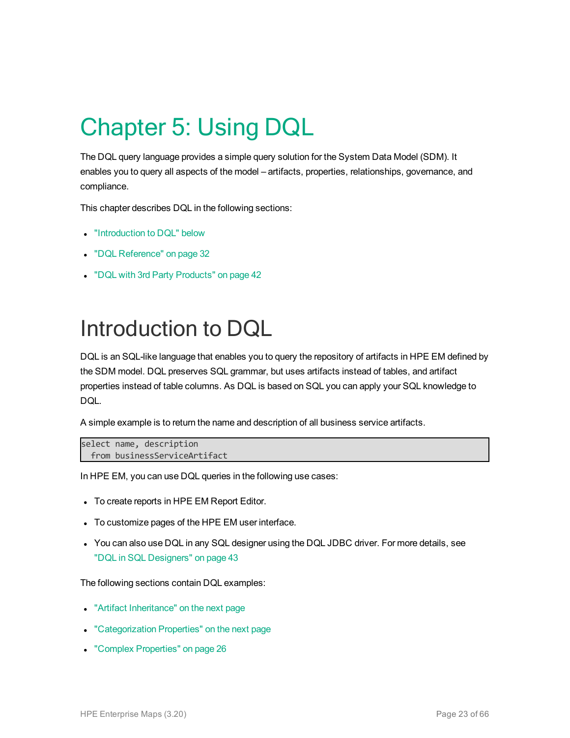# <span id="page-22-0"></span>Chapter 5: Using DQL

The DQL query language provides a simple query solution for the System Data Model (SDM). It enables you to query all aspects of the model – artifacts, properties, relationships, governance, and compliance.

This chapter describes DQL in the following sections:

- ["Introduction](#page-22-1) to DQL" below
- "DQL [Reference"](#page-31-0) on page 32
- <span id="page-22-1"></span>• "DQL with 3rd Party [Products"](#page-41-0) on page 42

### Introduction to DQL

DQL is an SQL-like language that enables you to query the repository of artifacts in HPE EM defined by the SDM model. DQL preserves SQL grammar, but uses artifacts instead of tables, and artifact properties instead of table columns. As DQL is based on SQL you can apply your SQL knowledge to DQL.

A simple example is to return the name and description of all business service artifacts.

```
select name, description
 from businessServiceArtifact
```
In HPE EM, you can use DQL queries in the following use cases:

- To create reports in HPE EM Report Editor.
- To customize pages of the HPE EM user interface.
- You can also use DQL in any SQL designer using the DQL JDBC driver. For more details, see "DQL in SQL [Designers"](#page-42-0) on page 43

The following sections contain DQL examples:

- "Artifact [Inheritance"](#page-23-0) on the next page
- ["Categorization](#page-23-1) Properties" on the next page
- "Complex [Properties"](#page-25-0) on page 26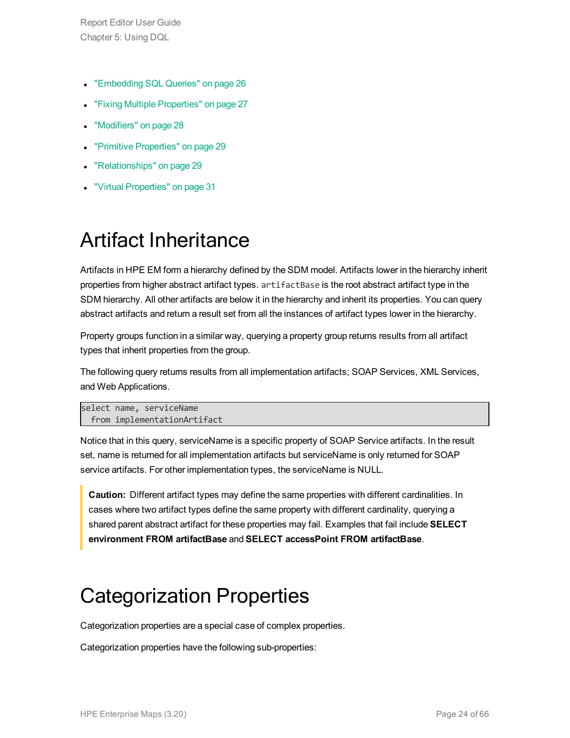- ["Embedding](#page-25-1) SQL Queries" on page 26
- **.** "Fixing Multiple [Properties"](#page-26-0) on page 27
- ["Modifiers"](#page-27-0) on page 28
- "Primitive [Properties"](#page-28-0) on page 29
- ["Relationships"](#page-28-1) on page 29
- <span id="page-23-0"></span>"Virtual [Properties"](#page-30-0) on page 31

### Artifact Inheritance

Artifacts in HPE EM form a hierarchy defined by the SDM model. Artifacts lower in the hierarchy inherit properties from higher abstract artifact types. artifactBase is the root abstract artifact type in the SDM hierarchy. All other artifacts are below it in the hierarchy and inherit its properties. You can query abstract artifacts and return a result set from all the instances of artifact types lower in the hierarchy.

Property groups function in a similar way, querying a property group returns results from all artifact types that inherit properties from the group.

The following query returns results from all implementation artifacts; SOAP Services, XML Services, and Web Applications.

```
select name, serviceName
 from implementationArtifact
```
Notice that in this query, serviceName is a specific property of SOAP Service artifacts. In the result set, name is returned for all implementation artifacts but serviceName is only returned for SOAP service artifacts. For other implementation types, the serviceName is NULL.

**Caution:** Different artifact types may define the same properties with different cardinalities. In cases where two artifact types define the same property with different cardinality, querying a shared parent abstract artifact for these properties may fail. Examples that fail include **SELECT environment FROM artifactBase** and **SELECT accessPoint FROM artifactBase**.

### <span id="page-23-1"></span>Categorization Properties

Categorization properties are a special case of complex properties.

Categorization properties have the following sub-properties: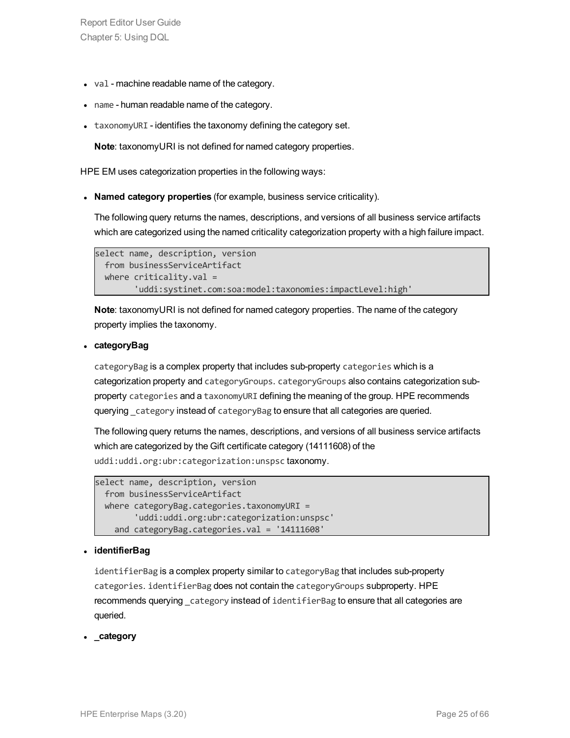- $\bullet$  val machine readable name of the category.
- name human readable name of the category.
- $\bullet$  taxonomyURI identifies the taxonomy defining the category set.

**Note**: taxonomyURI is not defined for named category properties.

HPE EM uses categorization properties in the following ways:

**Named category properties** (for example, business service criticality).

The following query returns the names, descriptions, and versions of all business service artifacts which are categorized using the named criticality categorization property with a high failure impact.

```
select name, description, version
 from businessServiceArtifact
 where criticality.val =
        'uddi:systinet.com:soa:model:taxonomies:impactLevel:high'
```
**Note**: taxonomyURI is not defined for named category properties. The name of the category property implies the taxonomy.

#### <sup>l</sup> **categoryBag**

categoryBag is a complex property that includes sub-property categories which is a categorization property and categoryGroups. categoryGroups also contains categorization subproperty categories and a taxonomyURI defining the meaning of the group. HPE recommends querying category instead of categoryBag to ensure that all categories are queried.

The following query returns the names, descriptions, and versions of all business service artifacts which are categorized by the Gift certificate category (14111608) of the uddi:uddi.org:ubr:categorization:unspsc taxonomy.

```
select name, description, version
 from businessServiceArtifact
 where categoryBag.categories.taxonomyURI =
        'uddi:uddi.org:ubr:categorization:unspsc'
   and categoryBag.categories.val = '14111608'
```
#### <sup>l</sup> **identifierBag**

identifierBag is a complex property similar to categoryBag that includes sub-property categories. identifierBag does not contain the categoryGroups subproperty. HPE recommends querying category instead of identifierBag to ensure that all categories are queried.

**.** category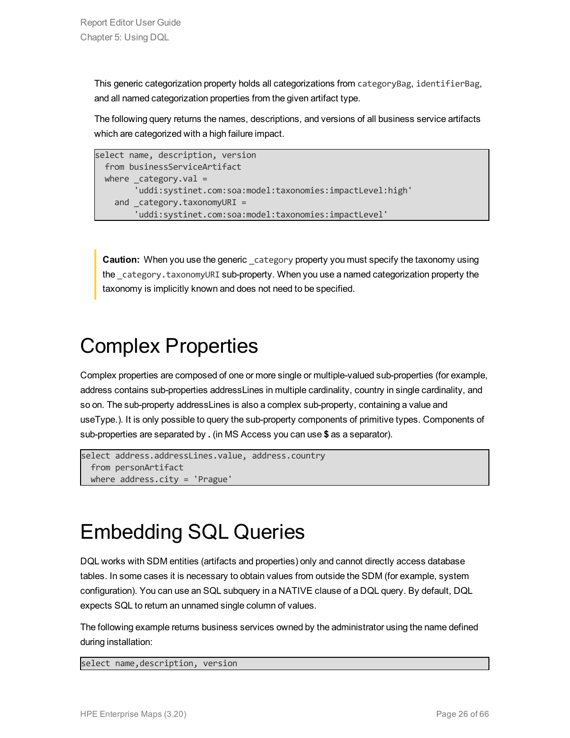This generic categorization property holds all categorizations from categoryBag, identifierBag, and all named categorization properties from the given artifact type.

The following query returns the names, descriptions, and versions of all business service artifacts which are categorized with a high failure impact.

```
select name, description, version
 from businessServiceArtifact
 where category.val ='uddi:systinet.com:soa:model:taxonomies:impactLevel:high'
   and category.taxonomyURI =
       'uddi:systinet.com:soa:model:taxonomies:impactLevel'
```
**Caution:** When you use the generic category property you must specify the taxonomy using the category.taxonomyURI sub-property. When you use a named categorization property the taxonomy is implicitly known and does not need to be specified.

### <span id="page-25-0"></span>Complex Properties

Complex properties are composed of one or more single or multiple-valued sub-properties (for example, address contains sub-properties addressLines in multiple cardinality, country in single cardinality, and so on. The sub-property addressLines is also a complex sub-property, containing a value and useType.). It is only possible to query the sub-property components of primitive types. Components of sub-properties are separated by **.** (in MS Access you can use **\$** as a separator).

```
select address.addressLines.value, address.country
 from personArtifact
 where address.city = 'Prague'
```
### <span id="page-25-1"></span>Embedding SQL Queries

DQL works with SDM entities (artifacts and properties) only and cannot directly access database tables. In some cases it is necessary to obtain values from outside the SDM (for example, system configuration). You can use an SQL subquery in a NATIVE clause of a DQL query. By default, DQL expects SQL to return an unnamed single column of values.

The following example returns business services owned by the administrator using the name defined during installation:

select name,description, version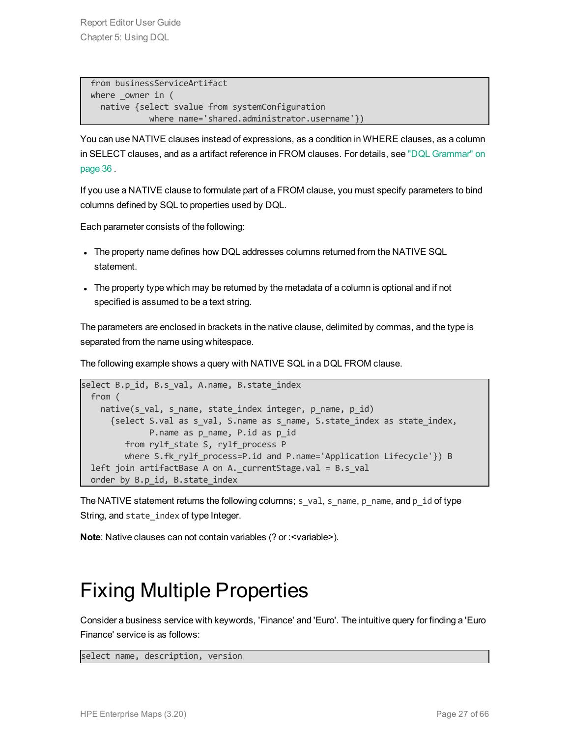```
from businessServiceArtifact
where owner in (
  native {select svalue from systemConfiguration
            where name='shared.administrator.username'})
```
You can use NATIVE clauses instead of expressions, as a condition in WHERE clauses, as a column in SELECT clauses, and as a artifact reference in FROM clauses. For details, see "DQL [Grammar"](#page-35-1) on [page](#page-35-1) 36 .

If you use a NATIVE clause to formulate part of a FROM clause, you must specify parameters to bind columns defined by SQL to properties used by DQL.

Each parameter consists of the following:

- The property name defines how DQL addresses columns returned from the NATIVE SQL statement.
- The property type which may be returned by the metadata of a column is optional and if not specified is assumed to be a text string.

The parameters are enclosed in brackets in the native clause, delimited by commas, and the type is separated from the name using whitespace.

The following example shows a query with NATIVE SQL in a DQL FROM clause.

```
select B.p id, B.s val, A.name, B.state index
 from (
    native(s val, s name, state index integer, p name, p id)
      {select S.val as s_val, S.name as s_name, S.state_index as state_index,
              P.name as p_name, P.id as p_id
        from rylf state S, rylf process P
         where S.fk rylf process=P.id and P.name='Application Lifecycle'}) B
  left join artifactBase A on A. currentStage.val = B.s val
 order by B.p id, B.state index
```
The NATIVE statement returns the following columns; s\_val, s\_name, p\_name, and p\_id of type String, and state\_index of type Integer.

<span id="page-26-0"></span>**Note**: Native clauses can not contain variables (? or : < variable>).

### Fixing Multiple Properties

Consider a business service with keywords, 'Finance' and 'Euro'. The intuitive query for finding a 'Euro Finance' service is as follows:

select name, description, version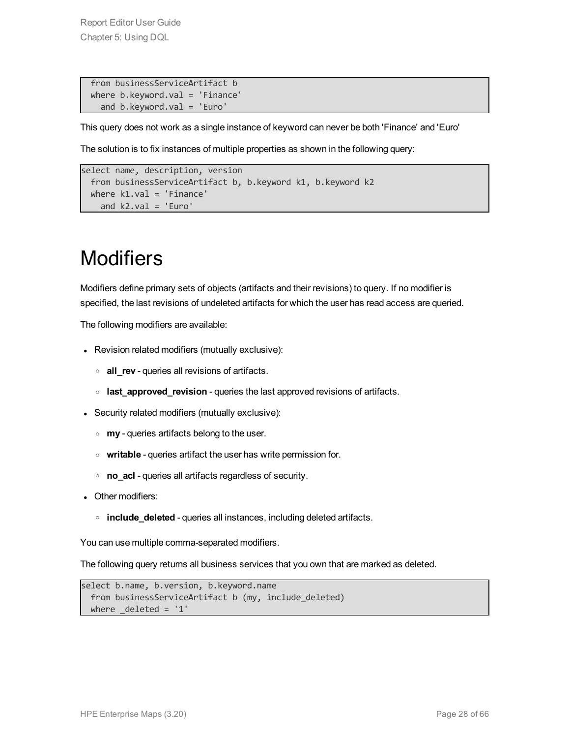from businessServiceArtifact b where b.keyword.val = 'Finance' and b.keyword.val = 'Euro'

This query does not work as a single instance of keyword can never be both 'Finance' and 'Euro'

The solution is to fix instances of multiple properties as shown in the following query:

```
select name, description, version
 from businessServiceArtifact b, b.keyword k1, b.keyword k2
 where k1.val = 'Finance'
   and k2.val = 'Euro'
```
### <span id="page-27-0"></span>**Modifiers**

Modifiers define primary sets of objects (artifacts and their revisions) to query. If no modifier is specified, the last revisions of undeleted artifacts for which the user has read access are queried.

The following modifiers are available:

- Revision related modifiers (mutually exclusive):
	- <sup>o</sup> **all\_rev** queries all revisions of artifacts.
	- <sup>o</sup> **last\_approved\_revision** queries the last approved revisions of artifacts.
- Security related modifiers (mutually exclusive):
	- <sup>o</sup> **my** queries artifacts belong to the user.
	- <sup>o</sup> **writable** queries artifact the user has write permission for.
	- <sup>o</sup> **no\_acl** queries all artifacts regardless of security.
- Other modifiers:
	- <sup>o</sup> **include\_deleted** queries all instances, including deleted artifacts.

You can use multiple comma-separated modifiers.

The following query returns all business services that you own that are marked as deleted.

```
select b.name, b.version, b.keyword.name
  from businessServiceArtifact b (my, include deleted)
 where \text{deleted} = '1'
```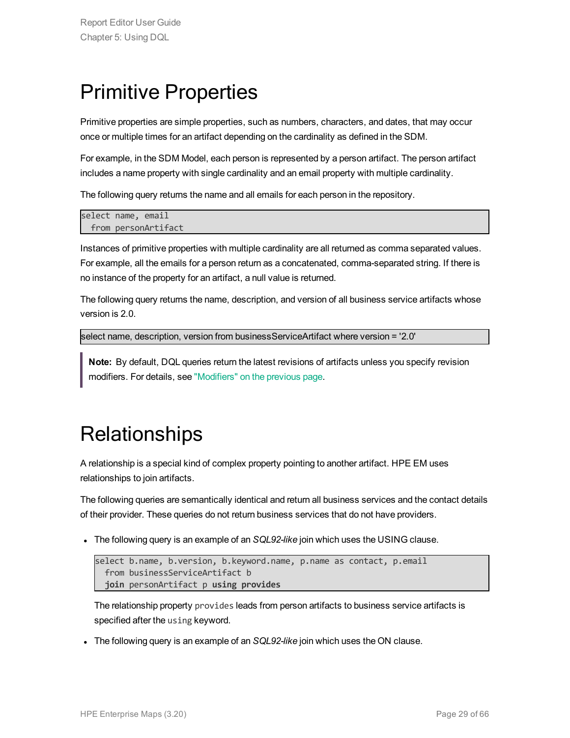### <span id="page-28-0"></span>Primitive Properties

Primitive properties are simple properties, such as numbers, characters, and dates, that may occur once or multiple times for an artifact depending on the cardinality as defined in the SDM.

For example, in the SDM Model, each person is represented by a person artifact. The person artifact includes a name property with single cardinality and an email property with multiple cardinality.

The following query returns the name and all emails for each person in the repository.

```
select name, email
 from personArtifact
```
Instances of primitive properties with multiple cardinality are all returned as comma separated values. For example, all the emails for a person return as a concatenated, comma-separated string. If there is no instance of the property for an artifact, a null value is returned.

The following query returns the name, description, and version of all business service artifacts whose version is 2.0.

select name, description, version from businessServiceArtifact where version = '2.0'

<span id="page-28-1"></span>**Note:** By default, DQL queries return the latest revisions of artifacts unless you specify revision modifiers. For details, see ["Modifiers"](#page-27-0) on the previous page.

### **Relationships**

A relationship is a special kind of complex property pointing to another artifact. HPE EM uses relationships to join artifacts.

The following queries are semantically identical and return all business services and the contact details of their provider. These queries do not return business services that do not have providers.

The following query is an example of an *SQL92-like* join which uses the USING clause.

```
select b.name, b.version, b.keyword.name, p.name as contact, p.email
  from businessServiceArtifact b
  join personArtifact p using provides
```
The relationship property provides leads from person artifacts to business service artifacts is specified after the using keyword.

The following query is an example of an *SQL92-like* join which uses the ON clause.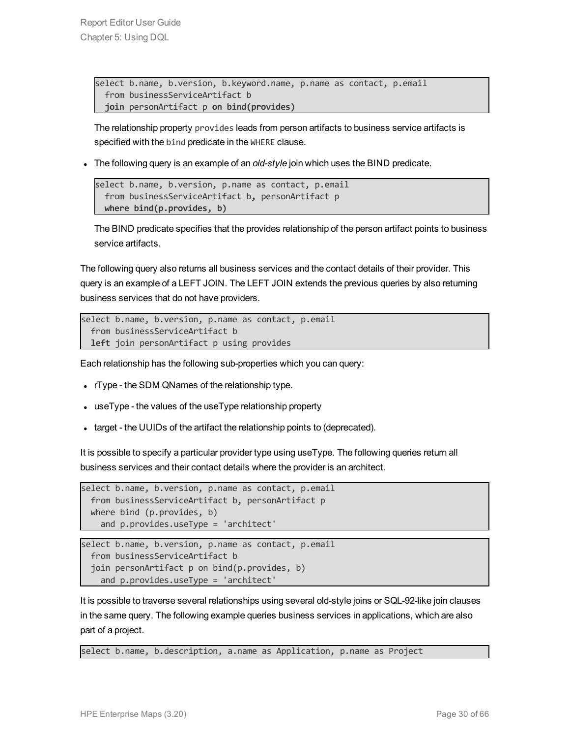```
select b.name, b.version, b.keyword.name, p.name as contact, p.email
 from businessServiceArtifact b
 join personArtifact p on bind(provides)
```
The relationship property provides leads from person artifacts to business service artifacts is specified with the bind predicate in the WHERE clause.

. The following query is an example of an *old-style* join which uses the BIND predicate.

```
select b.name, b.version, p.name as contact, p.email
  from businessServiceArtifact b, personArtifact p
  where bind(p.provides, b)
```
The BIND predicate specifies that the provides relationship of the person artifact points to business service artifacts.

The following query also returns all business services and the contact details of their provider. This query is an example of a LEFT JOIN. The LEFT JOIN extends the previous queries by also returning business services that do not have providers.

```
select b.name, b.version, p.name as contact, p.email
 from businessServiceArtifact b
 left join personArtifact p using provides
```
Each relationship has the following sub-properties which you can query:

- $\cdot$  rType the SDM QNames of the relationship type.
- $\bullet$  useType the values of the useType relationship property
- I target the UUIDs of the artifact the relationship points to (deprecated).

It is possible to specify a particular provider type using useType. The following queries return all business services and their contact details where the provider is an architect.

```
select b.name, b.version, p.name as contact, p.email
 from businessServiceArtifact b, personArtifact p
 where bind (p.provides, b)
    and p.provides.useType = 'architect'
```

```
select b.name, b.version, p.name as contact, p.email
 from businessServiceArtifact b
  join personArtifact p on bind(p.provides, b)
    and p.provides.useType = 'architect'
```
It is possible to traverse several relationships using several old-style joins or SQL-92-like join clauses in the same query. The following example queries business services in applications, which are also part of a project.

select b.name, b.description, a.name as Application, p.name as Project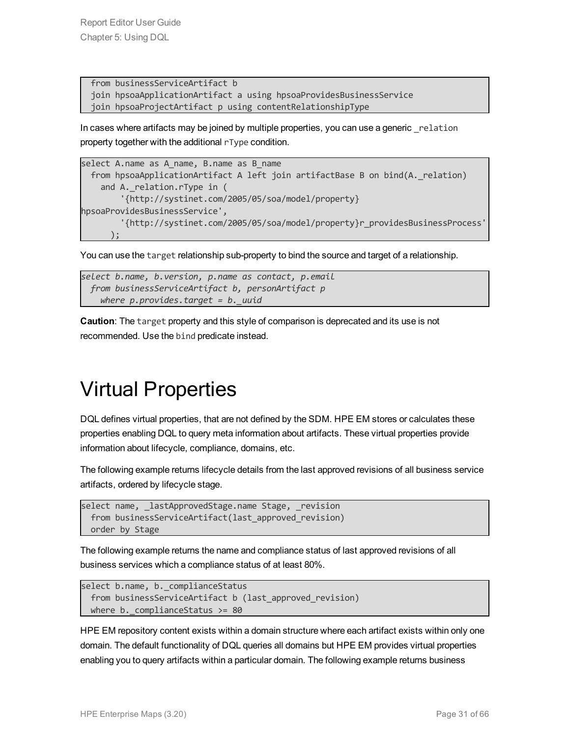```
from businessServiceArtifact b
join hpsoaApplicationArtifact a using hpsoaProvidesBusinessService
join hpsoaProjectArtifact p using contentRelationshipType
```
In cases where artifacts may be joined by multiple properties, you can use a generic relation property together with the additional rType condition.

```
select A.name as A name, B.name as B name
 from hpsoaApplicationArtifact A left join artifactBase B on bind(A._relation)
    and A. relation.rType in (
        '{http://systinet.com/2005/05/soa/model/property}
hpsoaProvidesBusinessService',
        '{http://systinet.com/2005/05/soa/model/property}r_providesBusinessProcess'
      );
```
You can use the target relationship sub-property to bind the source and target of a relationship.

```
select b.name, b.version, p.name as contact, p.email
 from businessServiceArtifact b, personArtifact p
   where p.provides.target = b._uuid
```
<span id="page-30-0"></span>**Caution**: The target property and this style of comparison is deprecated and its use is not recommended. Use the bind predicate instead.

### Virtual Properties

DQL defines virtual properties, that are not defined by the SDM. HPE EM stores or calculates these properties enabling DQL to query meta information about artifacts. These virtual properties provide information about lifecycle, compliance, domains, etc.

The following example returns lifecycle details from the last approved revisions of all business service artifacts, ordered by lifecycle stage.

```
select name, lastApprovedStage.name Stage, revision
 from businessServiceArtifact(last approved revision)
 order by Stage
```
The following example returns the name and compliance status of last approved revisions of all business services which a compliance status of at least 80%.

```
select b.name, b. complianceStatus
 from businessServiceArtifact b (last approved revision)
 where b. complianceStatus >= 80
```
HPE EM repository content exists within a domain structure where each artifact exists within only one domain. The default functionality of DQL queries all domains but HPE EM provides virtual properties enabling you to query artifacts within a particular domain. The following example returns business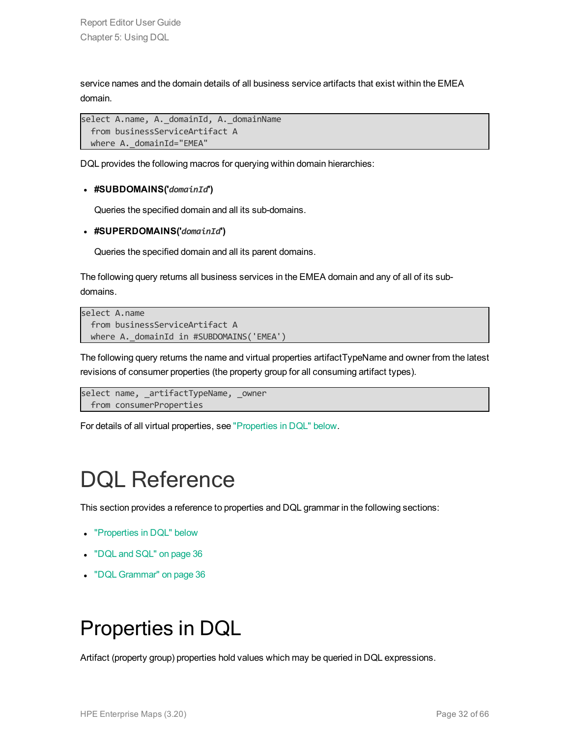service names and the domain details of all business service artifacts that exist within the EMEA domain.

```
select A.name, A. domainId, A. domainName
  from businessServiceArtifact A
 where A. domainId="EMEA"
```
DQL provides the following macros for querying within domain hierarchies:

#### <sup>l</sup> **#SUBDOMAINS('***domainId***')**

Queries the specified domain and all its sub-domains.

<sup>l</sup> **#SUPERDOMAINS('***domainId***')**

Queries the specified domain and all its parent domains.

The following query returns all business services in the EMEA domain and any of all of its subdomains.

```
select A.name
  from businessServiceArtifact A
 where A. domainId in #SUBDOMAINS('EMEA')
```
The following query returns the name and virtual properties artifactTypeName and owner from the latest revisions of consumer properties (the property group for all consuming artifact types).

```
select name, artifactTypeName, owner
 from consumerProperties
```
<span id="page-31-0"></span>For details of all virtual properties, see ["Properties](#page-31-1) in DQL" below.

### DQL Reference

This section provides a reference to properties and DQL grammar in the following sections:

- ["Properties](#page-31-1) in DQL" below
- ["DQL](#page-35-0) and SQL" on page 36
- <span id="page-31-1"></span>• "DQL [Grammar"](#page-35-1) on page 36

### Properties in DQL

Artifact (property group) properties hold values which may be queried in DQL expressions.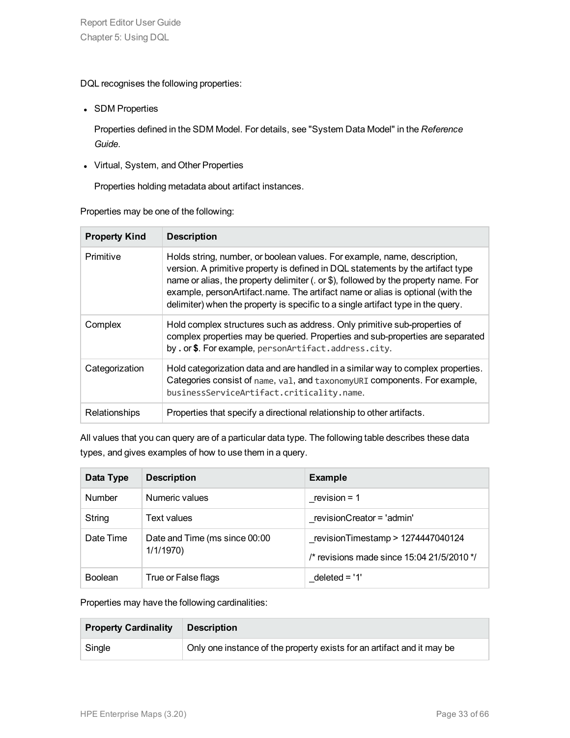DQL recognises the following properties:

• SDM Properties

Properties defined in the SDM Model. For details, see "System Data Model" in the *Reference Guide*.

• Virtual, System, and Other Properties

Properties holding metadata about artifact instances.

Properties may be one of the following:

| <b>Property Kind</b> | <b>Description</b>                                                                                                                                                                                                                                                                                                                                                                                                       |
|----------------------|--------------------------------------------------------------------------------------------------------------------------------------------------------------------------------------------------------------------------------------------------------------------------------------------------------------------------------------------------------------------------------------------------------------------------|
| Primitive            | Holds string, number, or boolean values. For example, name, description,<br>version. A primitive property is defined in DQL statements by the artifact type<br>name or alias, the property delimiter (. or \$), followed by the property name. For<br>example, personArtifact.name. The artifact name or alias is optional (with the<br>delimiter) when the property is specific to a single artifact type in the query. |
| Complex              | Hold complex structures such as address. Only primitive sub-properties of<br>complex properties may be queried. Properties and sub-properties are separated<br>by . or \$. For example, personArtifact.address.city.                                                                                                                                                                                                     |
| Categorization       | Hold categorization data and are handled in a similar way to complex properties.<br>Categories consist of name, val, and taxonomyURI components. For example,<br>businessServiceArtifact.criticality.name.                                                                                                                                                                                                               |
| Relationships        | Properties that specify a directional relationship to other artifacts.                                                                                                                                                                                                                                                                                                                                                   |

All values that you can query are of a particular data type. The following table describes these data types, and gives examples of how to use them in a query.

| Data Type      | <b>Description</b>                        | <b>Example</b>                                                                    |
|----------------|-------------------------------------------|-----------------------------------------------------------------------------------|
| <b>Number</b>  | Numeric values                            | revision = $1$                                                                    |
| String         | Text values                               | revisionCreator = 'admin'                                                         |
| Date Time      | Date and Time (ms since 00:00<br>1/1/1970 | revisionTimestamp > 1274447040124<br>/* revisions made since $15.04$ 21/5/2010 */ |
| <b>Boolean</b> | True or False flags                       | $deleted = '1'$                                                                   |

Properties may have the following cardinalities:

| <b>Property Cardinality</b> | <b>Description</b>                                                     |  |
|-----------------------------|------------------------------------------------------------------------|--|
| Single                      | Only one instance of the property exists for an artifact and it may be |  |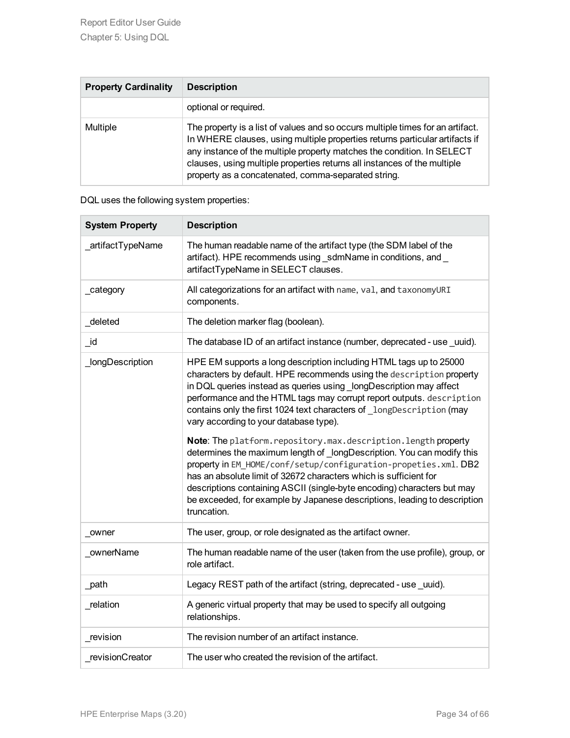| <b>Property Cardinality</b> | <b>Description</b>                                                                                                                                                                                                                                                                                                                                                         |  |
|-----------------------------|----------------------------------------------------------------------------------------------------------------------------------------------------------------------------------------------------------------------------------------------------------------------------------------------------------------------------------------------------------------------------|--|
|                             | optional or required.                                                                                                                                                                                                                                                                                                                                                      |  |
| <b>Multiple</b>             | The property is a list of values and so occurs multiple times for an artifact.<br>In WHERE clauses, using multiple properties returns particular artifacts if<br>any instance of the multiple property matches the condition. In SELECT<br>clauses, using multiple properties returns all instances of the multiple<br>property as a concatenated, comma-separated string. |  |

| DQL uses the following system properties: |
|-------------------------------------------|
|-------------------------------------------|

| <b>System Property</b> | <b>Description</b>                                                                                                                                                                                                                                                                                                                                                                                                                                                                                                                                                                                                                                                                                                                                                                                                                                                      |  |  |
|------------------------|-------------------------------------------------------------------------------------------------------------------------------------------------------------------------------------------------------------------------------------------------------------------------------------------------------------------------------------------------------------------------------------------------------------------------------------------------------------------------------------------------------------------------------------------------------------------------------------------------------------------------------------------------------------------------------------------------------------------------------------------------------------------------------------------------------------------------------------------------------------------------|--|--|
| _artifactTypeName      | The human readable name of the artifact type (the SDM label of the<br>artifact). HPE recommends using sdmName in conditions, and<br>artifactTypeName in SELECT clauses.                                                                                                                                                                                                                                                                                                                                                                                                                                                                                                                                                                                                                                                                                                 |  |  |
| _category              | All categorizations for an artifact with name, val, and taxonomyURI<br>components.                                                                                                                                                                                                                                                                                                                                                                                                                                                                                                                                                                                                                                                                                                                                                                                      |  |  |
| deleted                | The deletion marker flag (boolean).                                                                                                                                                                                                                                                                                                                                                                                                                                                                                                                                                                                                                                                                                                                                                                                                                                     |  |  |
| _id                    | The database ID of an artifact instance (number, deprecated - use uuid).                                                                                                                                                                                                                                                                                                                                                                                                                                                                                                                                                                                                                                                                                                                                                                                                |  |  |
| _longDescription       | HPE EM supports a long description including HTML tags up to 25000<br>characters by default. HPE recommends using the description property<br>in DQL queries instead as queries using _longDescription may affect<br>performance and the HTML tags may corrupt report outputs. description<br>contains only the first 1024 text characters of _longDescription (may<br>vary according to your database type).<br>Note: The platform.repository.max.description.length property<br>determines the maximum length of _longDescription. You can modify this<br>property in EM_HOME/conf/setup/configuration-propeties.xml. DB2<br>has an absolute limit of 32672 characters which is sufficient for<br>descriptions containing ASCII (single-byte encoding) characters but may<br>be exceeded, for example by Japanese descriptions, leading to description<br>truncation. |  |  |
| owner                  | The user, group, or role designated as the artifact owner.                                                                                                                                                                                                                                                                                                                                                                                                                                                                                                                                                                                                                                                                                                                                                                                                              |  |  |
| ownerName              | The human readable name of the user (taken from the use profile), group, or<br>role artifact.                                                                                                                                                                                                                                                                                                                                                                                                                                                                                                                                                                                                                                                                                                                                                                           |  |  |
| path                   | Legacy REST path of the artifact (string, deprecated - use uuid).                                                                                                                                                                                                                                                                                                                                                                                                                                                                                                                                                                                                                                                                                                                                                                                                       |  |  |
| relation               | A generic virtual property that may be used to specify all outgoing<br>relationships.                                                                                                                                                                                                                                                                                                                                                                                                                                                                                                                                                                                                                                                                                                                                                                                   |  |  |
| revision               | The revision number of an artifact instance.                                                                                                                                                                                                                                                                                                                                                                                                                                                                                                                                                                                                                                                                                                                                                                                                                            |  |  |
| revisionCreator        | The user who created the revision of the artifact.                                                                                                                                                                                                                                                                                                                                                                                                                                                                                                                                                                                                                                                                                                                                                                                                                      |  |  |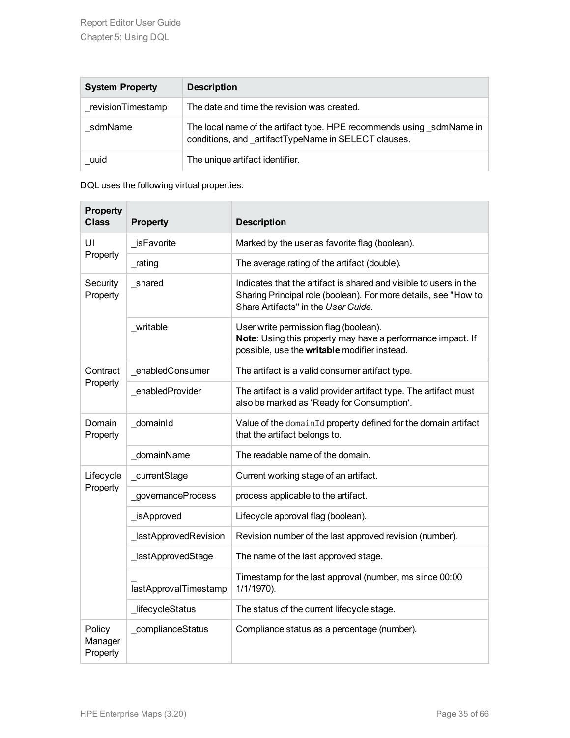| <b>System Property</b> | <b>Description</b>                                                                                                          |  |
|------------------------|-----------------------------------------------------------------------------------------------------------------------------|--|
| revisionTimestamp      | The date and time the revision was created.                                                                                 |  |
| sdmName                | The local name of the artifact type. HPE recommends using sdmName in<br>conditions, and artifactTypeName in SELECT clauses. |  |
| uuid                   | The unique artifact identifier.                                                                                             |  |

DQL uses the following virtual properties:

| <b>Property</b><br><b>Class</b> | <b>Property</b>       | <b>Description</b>                                                                                                                                                          |  |
|---------------------------------|-----------------------|-----------------------------------------------------------------------------------------------------------------------------------------------------------------------------|--|
| UI                              | _isFavorite           | Marked by the user as favorite flag (boolean).                                                                                                                              |  |
| Property                        | _rating               | The average rating of the artifact (double).                                                                                                                                |  |
| Security<br>Property            | _shared               | Indicates that the artifact is shared and visible to users in the<br>Sharing Principal role (boolean). For more details, see "How to<br>Share Artifacts" in the User Guide. |  |
|                                 | writable              | User write permission flag (boolean).<br>Note: Using this property may have a performance impact. If<br>possible, use the writable modifier instead.                        |  |
| Contract                        | _enabledConsumer      | The artifact is a valid consumer artifact type.                                                                                                                             |  |
| Property                        | _enabledProvider      | The artifact is a valid provider artifact type. The artifact must<br>also be marked as 'Ready for Consumption'.                                                             |  |
| Domain<br>Property              | _domainId             | Value of the domainId property defined for the domain artifact<br>that the artifact belongs to.                                                                             |  |
|                                 | _domainName           | The readable name of the domain.                                                                                                                                            |  |
| Lifecycle                       | _currentStage         | Current working stage of an artifact.                                                                                                                                       |  |
| Property                        | governanceProcess     | process applicable to the artifact.                                                                                                                                         |  |
|                                 | _isApproved           | Lifecycle approval flag (boolean).                                                                                                                                          |  |
|                                 | _lastApprovedRevision | Revision number of the last approved revision (number).                                                                                                                     |  |
|                                 | _lastApprovedStage    | The name of the last approved stage.                                                                                                                                        |  |
|                                 | lastApprovalTimestamp | Timestamp for the last approval (number, ms since 00:00<br>1/1/1970).                                                                                                       |  |
|                                 | _lifecycleStatus      | The status of the current lifecycle stage.                                                                                                                                  |  |
| Policy<br>Manager<br>Property   | _complianceStatus     | Compliance status as a percentage (number).                                                                                                                                 |  |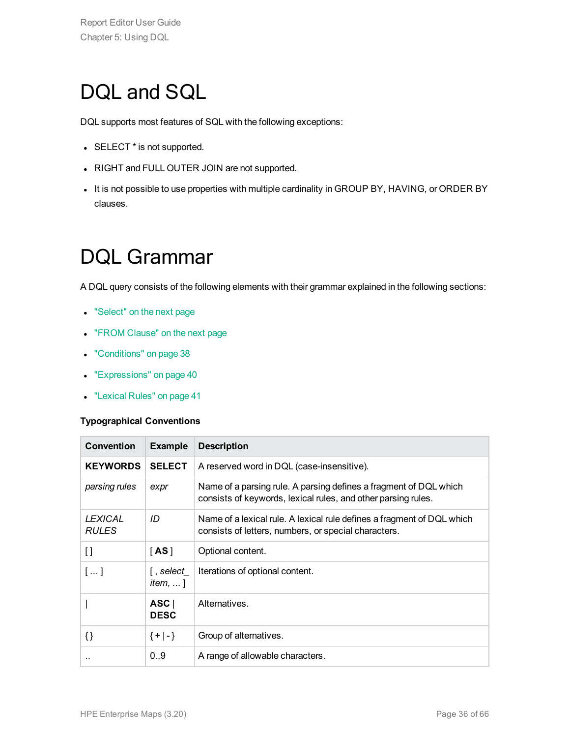### <span id="page-35-0"></span>DQL and SQL

DQL supports most features of SQL with the following exceptions:

- SELECT \* is not supported.
- RIGHT and FULL OUTER JOIN are not supported.
- <span id="page-35-1"></span>. It is not possible to use properties with multiple cardinality in GROUP BY, HAVING, or ORDER BY clauses.

### DQL Grammar

A DQL query consists of the following elements with their grammar explained in the following sections:

- ["Select"](#page-36-0) on the next page
- "FROM [Clause"](#page-36-1) on the next page
- ["Conditions"](#page-37-0) on page 38
- ["Expressions"](#page-39-0) on page 40
- ["Lexical](#page-40-0) Rules" on page 41

#### **Typographical Conventions**

| <b>Convention</b>              | <b>Example</b>                                                 | <b>Description</b>                                                                                                                 |  |
|--------------------------------|----------------------------------------------------------------|------------------------------------------------------------------------------------------------------------------------------------|--|
| <b>KEYWORDS</b>                | <b>SELECT</b>                                                  | A reserved word in DQL (case-insensitive).                                                                                         |  |
| parsing rules                  | expr                                                           | Name of a parsing rule. A parsing defines a fragment of DQL which<br>consists of keywords, lexical rules, and other parsing rules. |  |
| <b>LEXICAL</b><br><b>RULES</b> | ID                                                             | Name of a lexical rule. A lexical rule defines a fragment of DQL which<br>consists of letters, numbers, or special characters.     |  |
| $\lceil$                       | $\mathsf{[AS]}$                                                | Optional content.                                                                                                                  |  |
| []                             | [ , select $\overline{\phantom{a}}$<br><i>item</i> , $\dots$ ] | Iterations of optional content.                                                                                                    |  |
|                                | ASC<br><b>DESC</b>                                             | Alternatives.                                                                                                                      |  |
| $\{\}$                         | ${+ -}$                                                        | Group of alternatives.                                                                                                             |  |
|                                | 0.9                                                            | A range of allowable characters.                                                                                                   |  |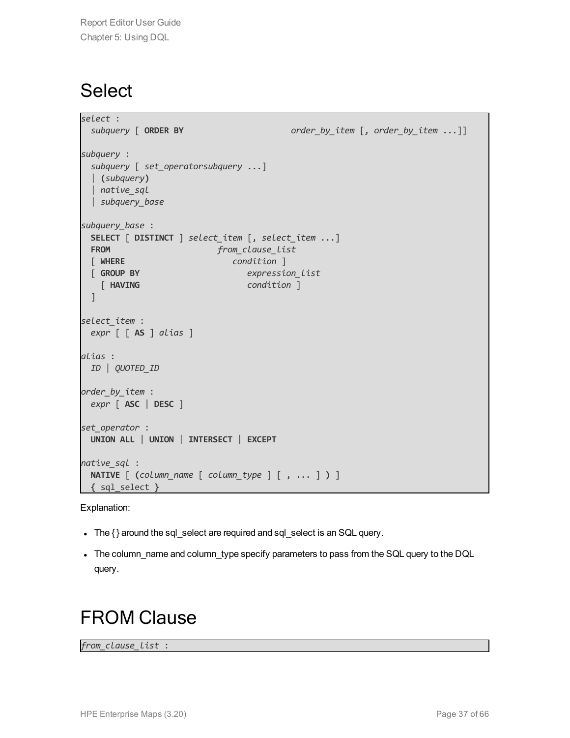### <span id="page-36-0"></span>**Select**

```
select :
 subquery [ ORDER BY order_by_item [, order_by_item ...]]
subquery :
 subquery [ set_operatorsubquery ...]
 | (subquery)
 | native_sql
 | subquery_base
subquery_base :
 SELECT [ DISTINCT ] select_item [, select_item ...]
 FROM from clause list
 [ WHERE condition ]
 [ GROUP BY expression_list
   [ HAVING condition ]
 \overline{1}select_item :
 expr [ [ AS ] alias ]
alias :
ID | QUOTED_ID
order_by_item :
 expr [ ASC | DESC ]
set_operator :
UNION ALL | UNION | INTERSECT | EXCEPT
native_sql :
 NATIVE [ (column_name [ column_type ] [ , ... ] ) ]
{ sql_select }
```
Explanation:

- The { } around the sql\_select are required and sql\_select is an SQL query.
- <span id="page-36-1"></span>• The column\_name and column\_type specify parameters to pass from the SQL query to the DQL query.

### FROM Clause

*from\_clause\_list* :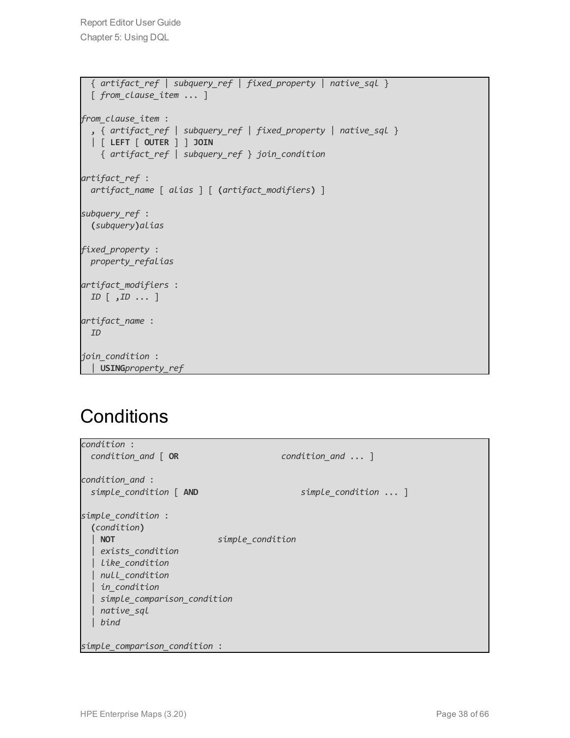```
{ artifact_ref | subquery_ref | fixed_property | native_sql }
  [ from_clause_item ... ]
from_clause_item :
  , { artifact_ref | subquery_ref | fixed_property | native_sql }
  | [ LEFT [ OUTER ] ] JOIN
   { artifact_ref | subquery_ref } join_condition
artifact_ref :
 artifact_name [ alias ] [ (artifact_modifiers) ]
subquery_ref :
 (subquery)alias
fixed_property :
 property_refalias
artifact_modifiers :
 ID [ ,ID ... ]
artifact_name :
 ID
join_condition :
 | USINGproperty_ref
```
### <span id="page-37-0"></span>**Conditions**

| condition :                   |                           |
|-------------------------------|---------------------------|
| condition_and [OR             | $condition$ and $\dots$ ] |
| condition_and :               |                           |
| simple_condition [ AND        | simple_condition  ]       |
| simple_condition :            |                           |
| (condition)                   |                           |
| <b>NOT</b>                    | simple_condition          |
| exists_condition              |                           |
| Like_condition                |                           |
| null condition                |                           |
| in_condition                  |                           |
| simple comparison condition   |                           |
| native_sql                    |                           |
| bind                          |                           |
| simple comparison condition : |                           |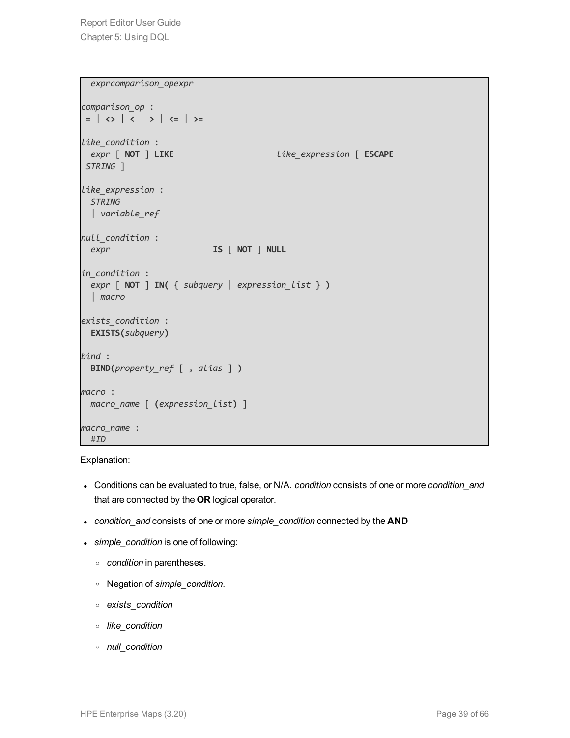```
exprcomparison_opexpr
comparison_op :
 = | <> | < | > | <= | >=
like_condition :
 expr [ NOT ] LIKE like_expression [ ESCAPE
STRING ]
like_expression :
 STRING
 | variable_ref
null_condition :
 expr IS [ NOT ] NULL
in_condition :
 expr [ NOT ] IN( { subquery | expression_list } )
 | macro
exists_condition :
 EXISTS(subquery)
bind :
 BIND(property_ref [ , alias ] )
macro :
 macro_name [ (expression_list) ]
macro_name :
 #ID
```
#### Explanation:

- <sup>l</sup> Conditions can be evaluated to true, false, or N/A. *condition* consists of one or more *condition\_and* that are connected by the **OR** logical operator.
- <sup>l</sup> *condition\_and* consists of one or more *simple\_condition* connected by the **AND**
- <sup>l</sup> *simple\_condition* is one of following:
	- <sup>o</sup> *condition* in parentheses.
	- <sup>o</sup> Negation of *simple\_condition*.
	- <sup>o</sup> *exists\_condition*
	- <sup>o</sup> *like\_condition*
	- <sup>o</sup> *null\_condition*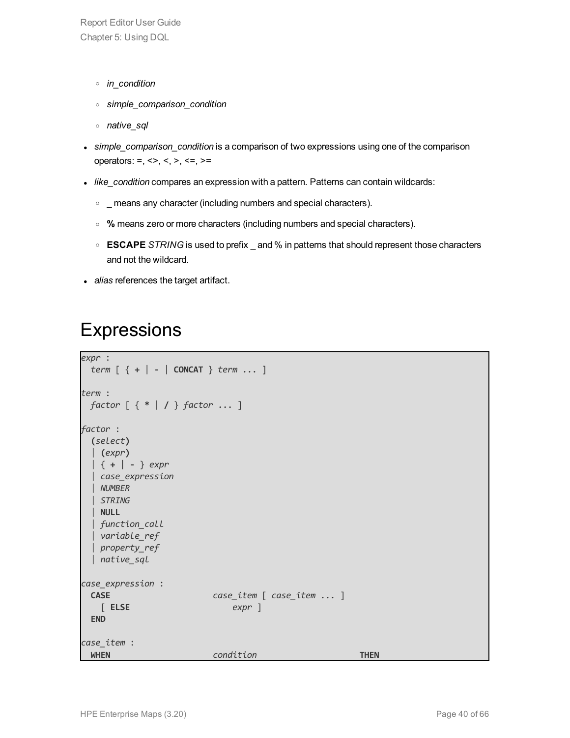- <sup>o</sup> *in\_condition*
- <sup>o</sup> *simple\_comparison\_condition*
- <sup>o</sup> *native\_sql*
- <sup>l</sup> *simple\_comparison\_condition* is a comparison of two expressions using one of the comparison operators: =, <>, <, >, <=, >=
- <sup>l</sup> *like\_condition* compares an expression with a pattern. Patterns can contain wildcards:
	- **c** \_ means any character (including numbers and special characters).
	- <sup>o</sup> **%** means zero or more characters (including numbers and special characters).
	- <sup>o</sup> **ESCAPE** *STRING* is used to prefix \_ and % in patterns that should represent those characters and not the wildcard.
- <span id="page-39-0"></span>• *alias* references the target artifact.

### **Expressions**

```
expr :
 term [ { + | - | CONCAT } term ... ]
term :
 factor [ { * | / } factor ... ]
factor :
 (select)
  | (expr)
  | { + | - } expr
 | case_expression
 | NUMBER
 | STRING
 | NULL
 | function_call
 | variable_ref
 | property_ref
 | native_sql
case_expression :
 CASE case_item [ case_item ... ]
   [ ELSE expr ]
 END
case_item :
 WHEN condition THEN
```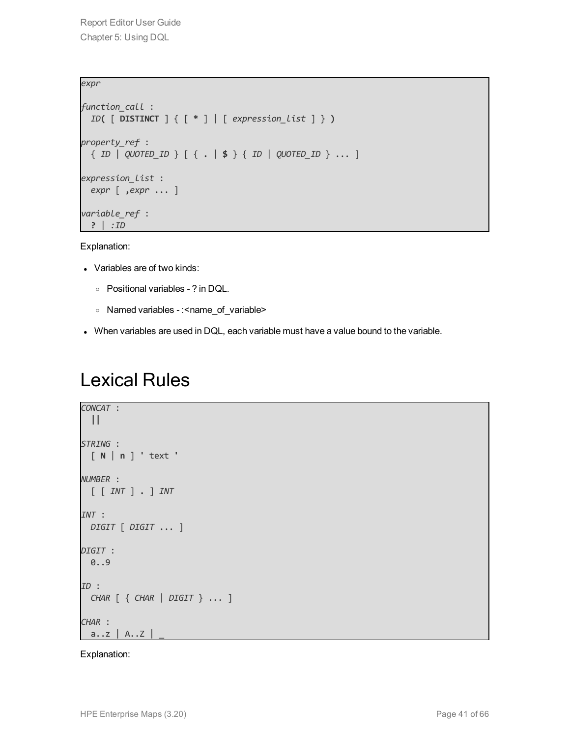```
expr
function_call :
 ID( [ DISTINCT ] { [ * ] | [ expression_list ] } )
property_ref :
 { ID | QUOTED_ID } [ { . | $ } { ID | QUOTED_ID } ... ]
expression_list :
 expr [ ,expr ... ]
variable_ref :
 ? | :ID
```
Explanation:

- Variables are of two kinds:
	- <sup>o</sup> Positional variables ? in DQL.
	- o Named variables : < name\_of\_variable>
- <span id="page-40-0"></span>• When variables are used in DQL, each variable must have a value bound to the variable.

### Lexical Rules

```
CONCAT :
 ||
STRING :
 [ N | n ] ' text '
NUMBER :
 [ [ INT ] . ] INT
INT :
 DIGIT [ DIGIT ... ]
DIGIT :
 0..9
ID :
 CHAR [ { CHAR | DIGIT } ... ]
CHAR :
 a..z | A..Z |
```
Explanation: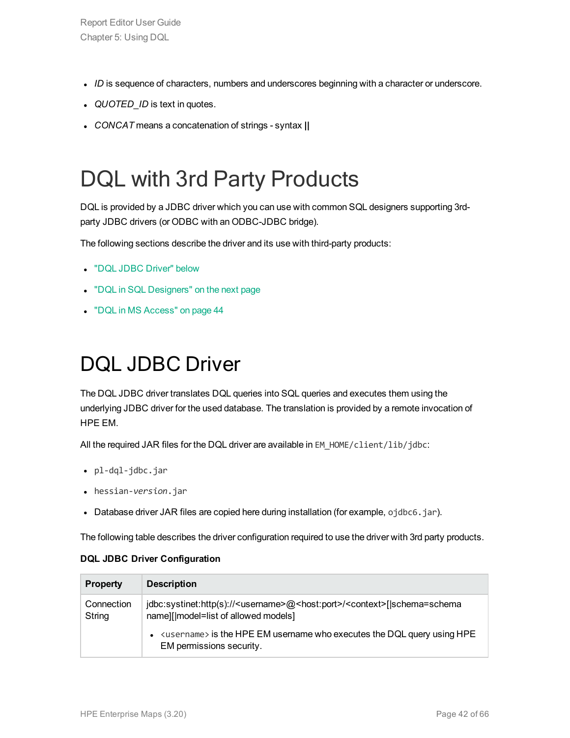- *ID* is sequence of characters, numbers and underscores beginning with a character or underscore.
- QUOTED\_ID is text in quotes.
- <span id="page-41-0"></span><sup>l</sup> *CONCAT* means a concatenation of strings - syntax **||**

### DQL with 3rd Party Products

DQL is provided by a JDBC driver which you can use with common SQL designers supporting 3rdparty JDBC drivers (or ODBC with an ODBC-JDBC bridge).

The following sections describe the driver and its use with third-party products:

- "DQL JDBC [Driver"](#page-41-1) below
- "DQL in SQL [Designers"](#page-42-0) on the next page
- <span id="page-41-1"></span>• "DQL in MS [Access"](#page-43-0) on page 44

### DQL JDBC Driver

The DQL JDBC driver translates DQL queries into SQL queries and executes them using the underlying JDBC driver for the used database. The translation is provided by a remote invocation of HPE EM.

All the required JAR files for the DQL driver are available in EM\_HOME/client/lib/jdbc:

- pl-dql-jdbc.jar
- <sup>l</sup> hessian-*version*.jar
- Database driver JAR files are copied here during installation (for example, ojdbc6.jar).

The following table describes the driver configuration required to use the driver with 3rd party products.

#### **DQL JDBC Driver Configuration**

| <b>Property</b>      | <b>Description</b>                                                                                                                                 |
|----------------------|----------------------------------------------------------------------------------------------------------------------------------------------------|
| Connection<br>String | jdbc:systinet:http(s):// <username>@<host:port>/<context>[ schema=schema<br/>name][ model=list of allowed models]</context></host:port></username> |
|                      | <username> is the HPE EM username who executes the DQL query using HPE<br/>EM permissions security.</username>                                     |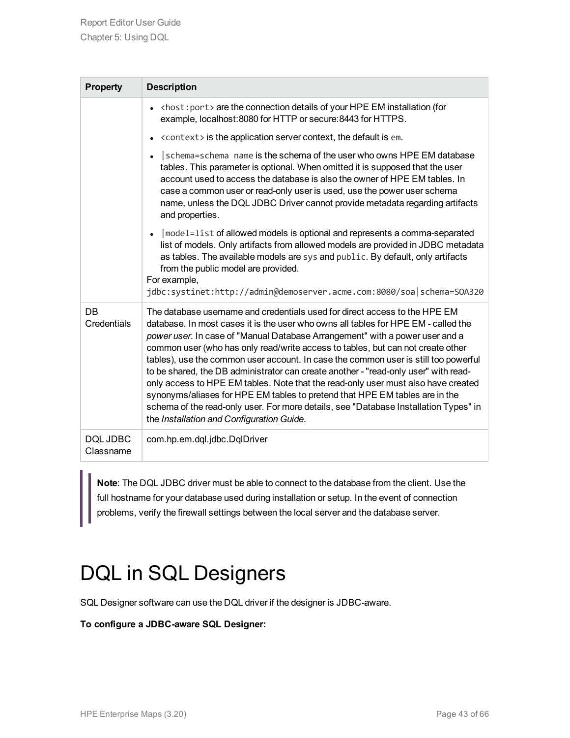| <b>Property</b>       | <b>Description</b>                                                                                                                                                                                                                                                                                                                                                                                                                                                                                                                                                                                                                                                                                                                                                                                                         |  |
|-----------------------|----------------------------------------------------------------------------------------------------------------------------------------------------------------------------------------------------------------------------------------------------------------------------------------------------------------------------------------------------------------------------------------------------------------------------------------------------------------------------------------------------------------------------------------------------------------------------------------------------------------------------------------------------------------------------------------------------------------------------------------------------------------------------------------------------------------------------|--|
|                       | $\bullet$ <host: port=""> are the connection details of your HPE EM installation (for<br/>example, localhost: 8080 for HTTP or secure: 8443 for HTTPS.</host:>                                                                                                                                                                                                                                                                                                                                                                                                                                                                                                                                                                                                                                                             |  |
|                       | <context> is the application server context, the default is em.</context>                                                                                                                                                                                                                                                                                                                                                                                                                                                                                                                                                                                                                                                                                                                                                  |  |
|                       | Schema=schema name is the schema of the user who owns HPE EM database<br>tables. This parameter is optional. When omitted it is supposed that the user<br>account used to access the database is also the owner of HPE EM tables. In<br>case a common user or read-only user is used, use the power user schema<br>name, unless the DQL JDBC Driver cannot provide metadata regarding artifacts<br>and properties.                                                                                                                                                                                                                                                                                                                                                                                                         |  |
|                       | $ $ model=list of allowed models is optional and represents a comma-separated<br>list of models. Only artifacts from allowed models are provided in JDBC metadata<br>as tables. The available models are sys and public. By default, only artifacts<br>from the public model are provided.<br>For example,<br>jdbc:systinet:http://admin@demoserver.acme.com:8080/soa schema=SOA320                                                                                                                                                                                                                                                                                                                                                                                                                                        |  |
| DB<br>Credentials     | The database username and credentials used for direct access to the HPE EM<br>database. In most cases it is the user who owns all tables for HPE EM - called the<br>power user. In case of "Manual Database Arrangement" with a power user and a<br>common user (who has only read/write access to tables, but can not create other<br>tables), use the common user account. In case the common user is still too powerful<br>to be shared, the DB administrator can create another - "read-only user" with read-<br>only access to HPE EM tables. Note that the read-only user must also have created<br>synonyms/aliases for HPE EM tables to pretend that HPE EM tables are in the<br>schema of the read-only user. For more details, see "Database Installation Types" in<br>the Installation and Configuration Guide. |  |
| DOL JDBC<br>Classname | com.hp.em.dql.jdbc.DqlDriver                                                                                                                                                                                                                                                                                                                                                                                                                                                                                                                                                                                                                                                                                                                                                                                               |  |

**Note**: The DQL JDBC driver must be able to connect to the database from the client. Use the full hostname for your database used during installation or setup. In the event of connection problems, verify the firewall settings between the local server and the database server.

### <span id="page-42-0"></span>DQL in SQL Designers

SQL Designer software can use the DQL driver if the designer is JDBC-aware.

#### **To configure a JDBC-aware SQL Designer:**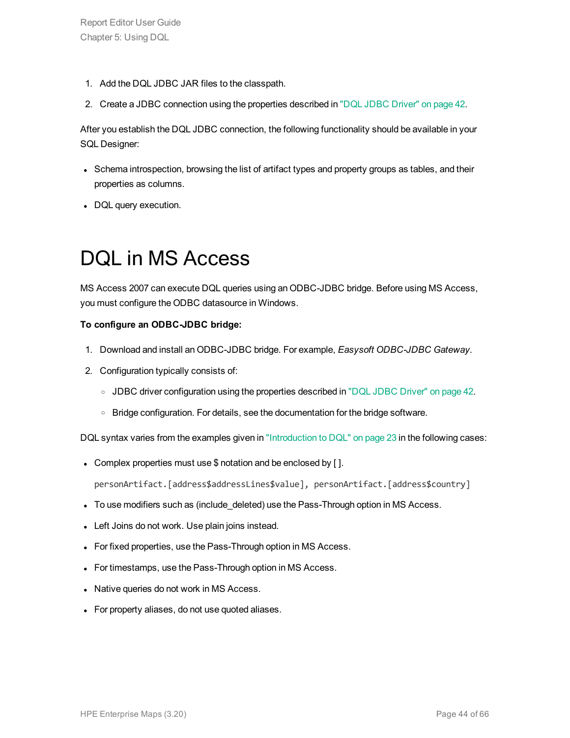- 1. Add the DQL JDBC JAR files to the classpath.
- 2. Create a JDBC connection using the properties described in "DQL JDBC [Driver"](#page-41-1) on page 42.

After you establish the DQL JDBC connection, the following functionality should be available in your SQL Designer:

- Schema introspection, browsing the list of artifact types and property groups as tables, and their properties as columns.
- <span id="page-43-0"></span>• DQL query execution.

### DQL in MS Access

MS Access 2007 can execute DQL queries using an ODBC-JDBC bridge. Before using MS Access, you must configure the ODBC datasource in Windows.

#### **To configure an ODBC-JDBC bridge:**

- 1. Download and install an ODBC-JDBC bridge. For example, *Easysoft ODBC-JDBC Gateway*.
- 2. Configuration typically consists of:
	- o JDBC driver configuration using the properties described in "DQL JDBC [Driver"](#page-41-1) on page 42.
	- $\circ$  Bridge configuration. For details, see the documentation for the bridge software.

DQL syntax varies from the examples given in ["Introduction](#page-22-1) to DQL" on page 23 in the following cases:

• Complex properties must use \$ notation and be enclosed by [].

personArtifact.[address\$addressLines\$value], personArtifact.[address\$country]

- To use modifiers such as (include\_deleted) use the Pass-Through option in MS Access.
- Left Joins do not work. Use plain joins instead.
- For fixed properties, use the Pass-Through option in MS Access.
- For timestamps, use the Pass-Through option in MS Access.
- Native queries do not work in MS Access.
- For property aliases, do not use quoted aliases.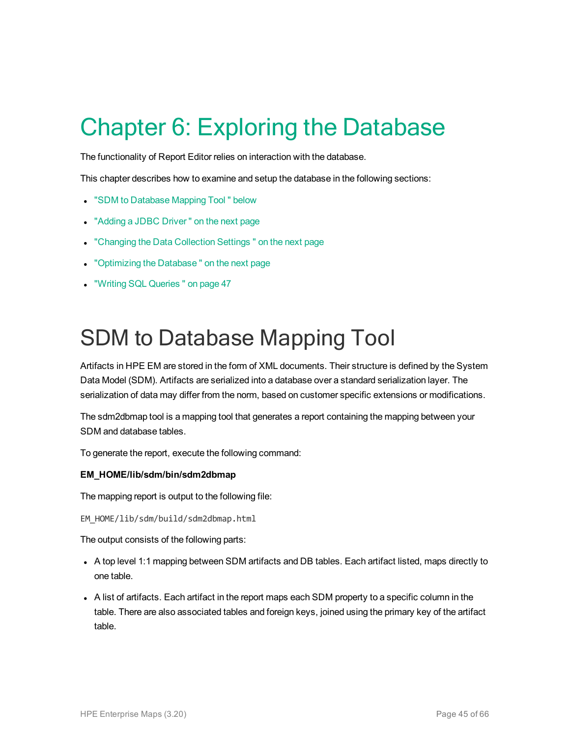# <span id="page-44-0"></span>Chapter 6: Exploring the Database

The functionality of Report Editor relies on interaction with the database.

This chapter describes how to examine and setup the database in the following sections:

- **.** "SDM to [Database](#page-44-1) Mapping Tool " below
- ["Adding](#page-45-0) a JDBC Driver" on the next page
- ["Changing](#page-45-1) the Data Collection Settings" on the next page
- ["Optimizing](#page-45-2) the Database" on the next page
- <span id="page-44-1"></span>**.** "Writing SQL [Queries "](#page-46-0) on page 47

### SDM to Database Mapping Tool

Artifacts in HPE EM are stored in the form of XML documents. Their structure is defined by the System Data Model (SDM). Artifacts are serialized into a database over a standard serialization layer. The serialization of data may differ from the norm, based on customer specific extensions or modifications.

The sdm2dbmap tool is a mapping tool that generates a report containing the mapping between your SDM and database tables.

To generate the report, execute the following command:

#### **EM\_HOME/lib/sdm/bin/sdm2dbmap**

The mapping report is output to the following file:

EM\_HOME/lib/sdm/build/sdm2dbmap.html

The output consists of the following parts:

- A top level 1:1 mapping between SDM artifacts and DB tables. Each artifact listed, maps directly to one table.
- A list of artifacts. Each artifact in the report maps each SDM property to a specific column in the table. There are also associated tables and foreign keys, joined using the primary key of the artifact table.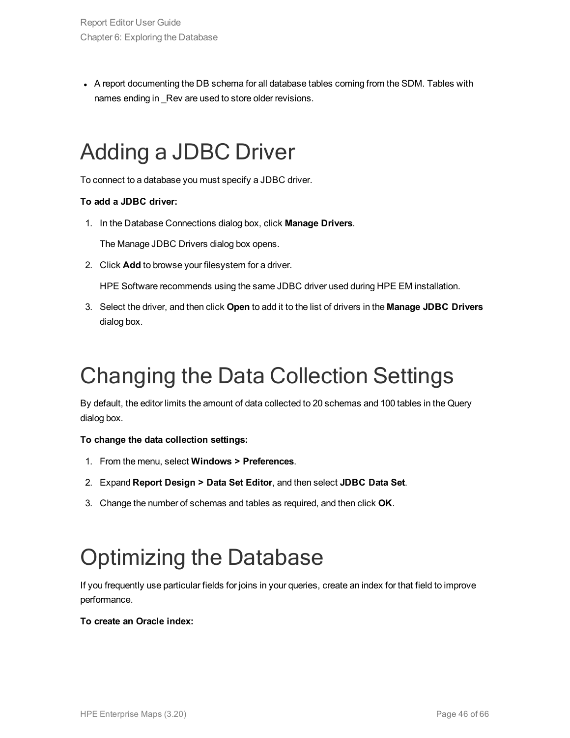• A report documenting the DB schema for all database tables coming from the SDM. Tables with names ending in Rev are used to store older revisions.

### <span id="page-45-0"></span>Adding a JDBC Driver

To connect to a database you must specify a JDBC driver.

#### **To add a JDBC driver:**

1. In the Database Connections dialog box, click **Manage Drivers**.

The Manage JDBC Drivers dialog box opens.

2. Click **Add** to browse your filesystem for a driver.

HPE Software recommends using the same JDBC driver used during HPE EM installation.

3. Select the driver, and then click **Open** to add it to the list of drivers in the **Manage JDBC Drivers** dialog box.

## <span id="page-45-1"></span>Changing the Data Collection Settings

By default, the editor limits the amount of data collected to 20 schemas and 100 tables in the Query dialog box.

#### **To change the data collection settings:**

- 1. From the menu, select **Windows > Preferences**.
- 2. Expand **Report Design > Data Set Editor**, and then select **JDBC Data Set**.
- <span id="page-45-2"></span>3. Change the number of schemas and tables as required, and then click **OK**.

### Optimizing the Database

If you frequently use particular fields for joins in your queries, create an index for that field to improve performance.

#### **To create an Oracle index:**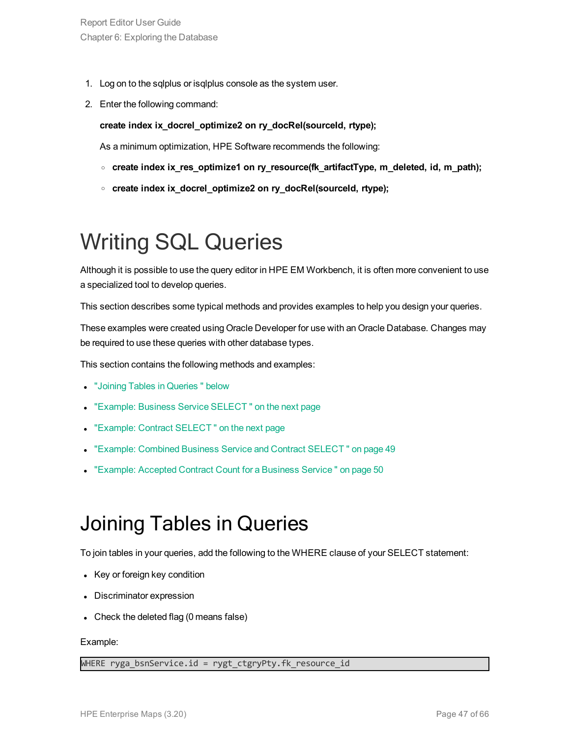- 1. Log on to the sqlplus or isqlplus console as the system user.
- 2. Enter the following command:

#### **create index ix\_docrel\_optimize2 on ry\_docRel(sourceId, rtype);**

As a minimum optimization, HPE Software recommends the following:

- <sup>o</sup> **create index ix\_res\_optimize1 on ry\_resource(fk\_artifactType, m\_deleted, id, m\_path);**
- <sup>o</sup> **create index ix\_docrel\_optimize2 on ry\_docRel(sourceId, rtype);**

## <span id="page-46-0"></span>Writing SQL Queries

Although it is possible to use the query editor in HPE EM Workbench, it is often more convenient to use a specialized tool to develop queries.

This section describes some typical methods and provides examples to help you design your queries.

These examples were created using Oracle Developer for use with an Oracle Database. Changes may be required to use these queries with other database types.

This section contains the following methods and examples:

- **.** "Joining Tables in [Queries "](#page-46-1) below
- "Example: Business Service SELECT" on the next page
- "Example: Contract SELECT" on the next page
- "Example: Combined Business Service and Contract SELECT" on page 49
- <span id="page-46-1"></span>["Example:](#page-49-0) Accepted Contract Count for a Business Service" on page 50

### Joining Tables in Queries

To join tables in your queries, add the following to the WHERE clause of your SELECT statement:

- Key or foreign key condition
- Discriminator expression
- $\bullet$  Check the deleted flag (0 means false)

#### Example:

WHERE ryga\_bsnService.id = rygt\_ctgryPty.fk\_resource\_id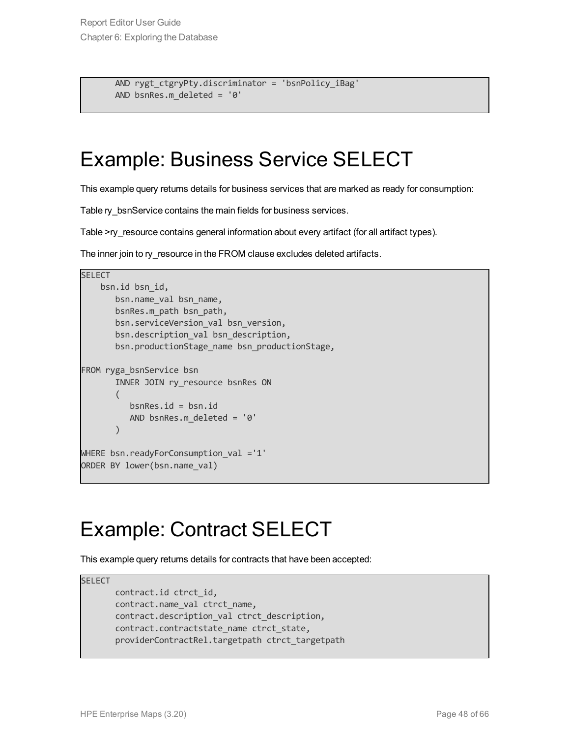```
AND rygt ctgryPty.discriminator = 'bsnPolicy iBag'
AND bsnRes.m_deleted = '0'
```
### <span id="page-47-0"></span>Example: Business Service SELECT

This example query returns details for business services that are marked as ready for consumption:

Table ry\_bsnService contains the main fields for business services.

Table >ry\_resource contains general information about every artifact (for all artifact types).

The inner join to ry\_resource in the FROM clause excludes deleted artifacts.

```
SELECT
    bsn.id bsn_id,
       bsn.name val bsn name,
       bsnRes.m_path bsn_path,
       bsn.serviceVersion_val bsn_version,
       bsn.description val bsn description,
       bsn.productionStage name bsn productionStage,
FROM ryga_bsnService bsn
       INNER JOIN ry resource bsnRes ON
       (
          bsnRes.id = bsn.id
          AND bsnRes.m_deleted = '0'
       )
WHERE bsn.readyForConsumption val ='1'
ORDER BY lower(bsn.name val)
```
### <span id="page-47-1"></span>Example: Contract SELECT

This example query returns details for contracts that have been accepted:

**SELECT** contract.id ctrct\_id, contract.name\_val ctrct\_name, contract.description val ctrct description, contract.contractstate name ctrct state, providerContractRel.targetpath ctrct\_targetpath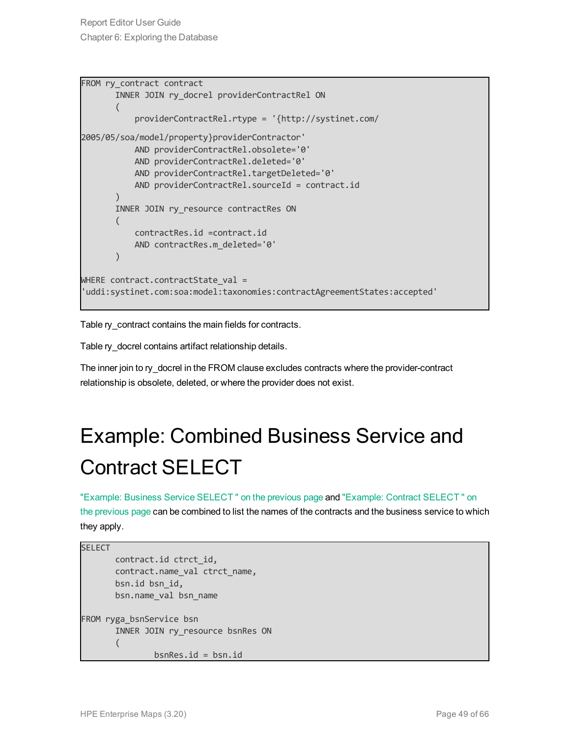Report Editor User Guide Chapter 6: Exploring the Database

```
FROM ry contract contract
       INNER JOIN ry docrel providerContractRel ON
       (
           providerContractRel.rtype = '{http://systinet.com/
2005/05/soa/model/property}providerContractor'
           AND providerContractRel.obsolete='0'
           AND providerContractRel.deleted='0'
           AND providerContractRel.targetDeleted='0'
           AND providerContractRel.sourceId = contract.id
       )
       INNER JOIN ry resource contractRes ON
       (
           contractRes.id =contract.id
           AND contractRes.m_deleted='0'
       )
WHERE contract.contractState val =
'uddi:systinet.com:soa:model:taxonomies:contractAgreementStates:accepted'
```
Table ry\_contract contains the main fields for contracts.

Table ry\_docrel contains artifact relationship details.

<span id="page-48-0"></span>The inner join to ry\_docrel in the FROM clause excludes contracts where the provider-contract relationship is obsolete, deleted, or where the provider does not exist.

## Example: Combined Business Service and Contract SELECT

"Example: Business Service [SELECT "](#page-47-0) on the previous page and "Example: Contract [SELECT "](#page-47-1) on the [previous](#page-47-1) page can be combined to list the names of the contracts and the business service to which they apply.

```
SELECT
       contract.id ctrct_id,
       contract.name_val ctrct_name,
       bsn.id bsn_id,
       bsn.name_val bsn_name
FROM ryga_bsnService bsn
       INNER JOIN ry resource bsnRes ON
       (
               bsnRes.id = bsn.id
```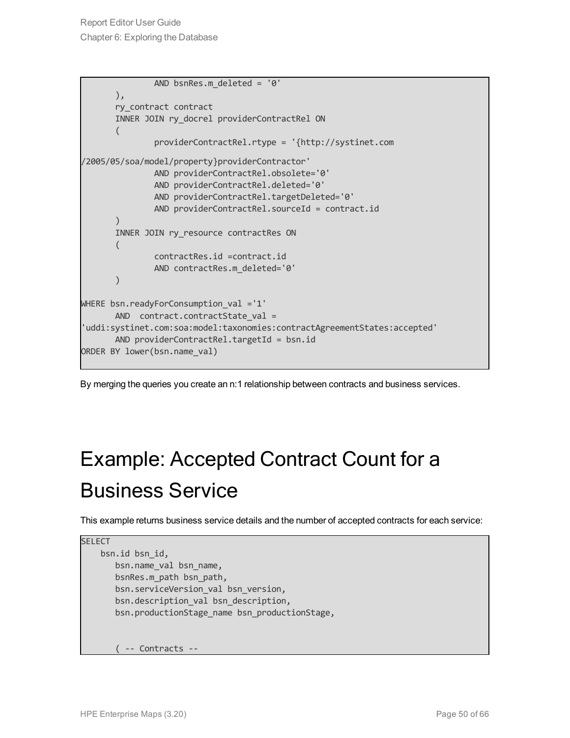```
AND bsnRes.m_deleted = '0'
       ),
       ry_contract contract
       INNER JOIN ry docrel providerContractRel ON
       (
               providerContractRel.rtype = '{http://systinet.com
/2005/05/soa/model/property}providerContractor'
               AND providerContractRel.obsolete='0'
               AND providerContractRel.deleted='0'
               AND providerContractRel.targetDeleted='0'
               AND providerContractRel.sourceId = contract.id
       )
       INNER JOIN ry resource contractRes ON
       (
               contractRes.id =contract.id
               AND contractRes.m_deleted='0'
       )
WHERE bsn.readyForConsumption_val ='1'
      AND contract.contractState val =
'uddi:systinet.com:soa:model:taxonomies:contractAgreementStates:accepted'
       AND providerContractRel.targetId = bsn.id
ORDER BY lower(bsn.name val)
```
<span id="page-49-0"></span>By merging the queries you create an n:1 relationship between contracts and business services.

## Example: Accepted Contract Count for a Business Service

This example returns business service details and the number of accepted contracts for each service:

```
SELECT
    bsn.id bsn_id,
       bsn.name_val bsn_name,
       bsnRes.m_path bsn_path,
       bsn.serviceVersion val bsn version,
       bsn.description val bsn description,
       bsn.productionStage name bsn productionStage,
       ( -- Contracts --
```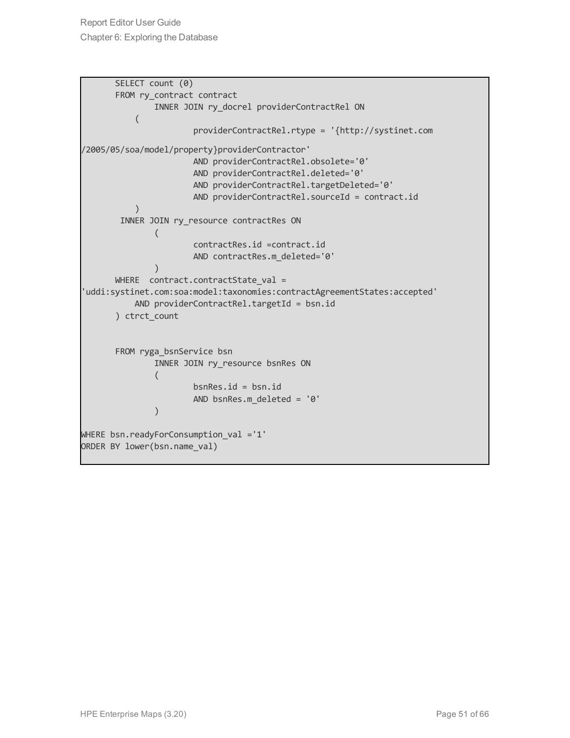Report Editor User Guide Chapter 6: Exploring the Database

```
SELECT count (0)
       FROM ry contract contract
               INNER JOIN ry_docrel providerContractRel ON
           (
                       providerContractRel.rtype = '{http://systinet.com
/2005/05/soa/model/property}providerContractor'
                       AND providerContractRel.obsolete='0'
                       AND providerContractRel.deleted='0'
                       AND providerContractRel.targetDeleted='0'
                       AND providerContractRel.sourceId = contract.id
           \lambdaINNER JOIN ry resource contractRes ON
               (
                       contractRes.id =contract.id
                       AND contractRes.m_deleted='0'
               \lambdaWHERE contract.contractState val =
'uddi:systinet.com:soa:model:taxonomies:contractAgreementStates:accepted'
           AND providerContractRel.targetId = bsn.id
       ) ctrct_count
       FROM ryga_bsnService bsn
               INNER JOIN ry resource bsnRes ON
               (
                       bsnRes.id = bsn.id
                       AND bsnRes.m_deleted = '0'
               )
WHERE bsn.readyForConsumption val ='1'
ORDER BY lower(bsn.name val)
```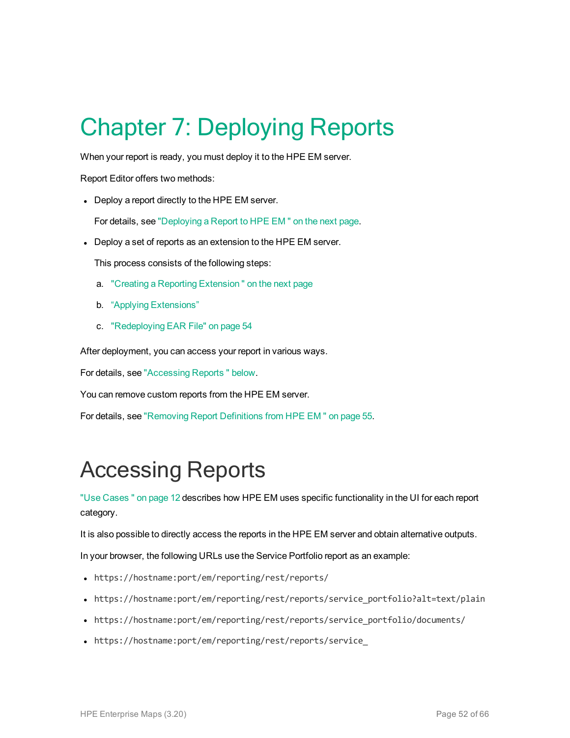# <span id="page-51-0"></span>Chapter 7: Deploying Reports

When your report is ready, you must deploy it to the HPE EM server.

Report Editor offers two methods:

• Deploy a report directly to the HPE EM server.

For details, see ["Deploying](#page-52-1) a Report to HPE EM " on the next page.

• Deploy a set of reports as an extension to the HPE EM server.

This process consists of the following steps:

- a. "Creating a Reporting [Extension "](#page-52-0) on the next page
- b. "Applying Extensions"
- c. ["Redeploying](#page-53-0) EAR File" on page 54

After deployment, you can access your report in various ways.

For details, see ["Accessing](#page-51-1) Reports " below.

You can remove custom reports from the HPE EM server.

<span id="page-51-1"></span>For details, see ["Removing](#page-54-0) Report Definitions from HPE EM " on page 55.

### Accessing Reports

"Use [Cases "](#page-11-0) on page 12 describes how HPE EM uses specific functionality in the UI for each report category.

It is also possible to directly access the reports in the HPE EM server and obtain alternative outputs.

In your browser, the following URLs use the Service Portfolio report as an example:

- https://hostname:port/em/reporting/rest/reports/
- https://hostname:port/em/reporting/rest/reports/service portfolio?alt=text/plain
- https://hostname:port/em/reporting/rest/reports/service\_portfolio/documents/
- https://hostname:port/em/reporting/rest/reports/service\_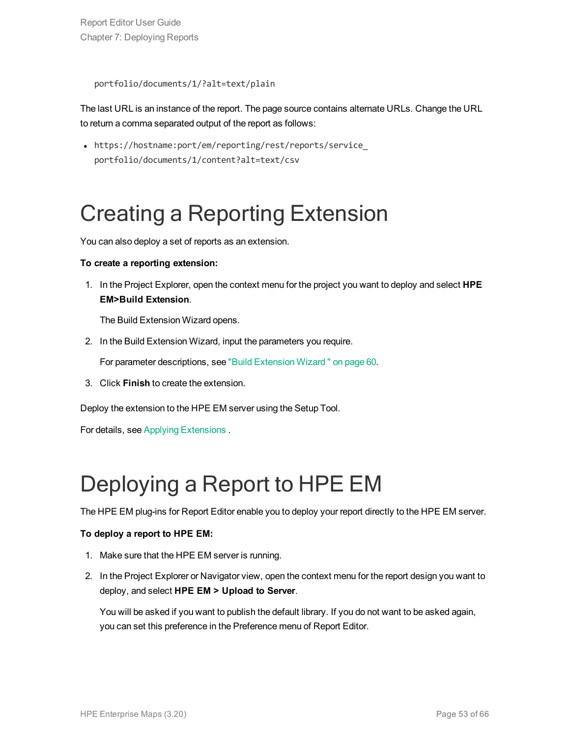Report Editor User Guide Chapter 7: Deploying Reports

portfolio/documents/1/?alt=text/plain

The last URL is an instance of the report. The page source contains alternate URLs. Change the URL to return a comma separated output of the report as follows:

• https://hostname:port/em/reporting/rest/reports/service portfolio/documents/1/content?alt=text/csv

### <span id="page-52-0"></span>Creating a Reporting Extension

You can also deploy a set of reports as an extension.

#### **To create a reporting extension:**

1. In the Project Explorer, open the context menu for the project you want to deploy and select **HPE EM>Build Extension**.

The Build Extension Wizard opens.

2. In the Build Extension Wizard, input the parameters you require.

For parameter descriptions, see "Build [Extension](#page-59-1) Wizard " on page 60.

3. Click **Finish** to create the extension.

Deploy the extension to the HPE EM server using the Setup Tool.

<span id="page-52-1"></span>For details, see Applying Extensions .

## Deploying a Report to HPE EM

The HPE EM plug-ins for Report Editor enable you to deploy your report directly to the HPE EM server.

#### **To deploy a report to HPE EM:**

- 1. Make sure that the HPE EM server is running.
- 2. In the Project Explorer or Navigator view, open the context menu for the report design you want to deploy, and select **HPE EM > Upload to Server**.

You will be asked if you want to publish the default library. If you do not want to be asked again, you can set this preference in the Preference menu of Report Editor.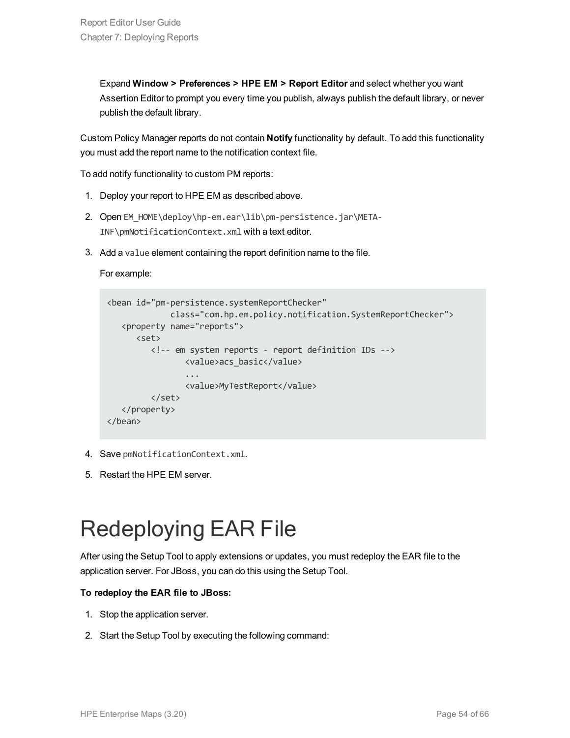Expand **Window > Preferences > HPE EM > Report Editor** and select whether you want Assertion Editor to prompt you every time you publish, always publish the default library, or never publish the default library.

Custom Policy Manager reports do not contain **Notify** functionality by default. To add this functionality you must add the report name to the notification context file.

To add notify functionality to custom PM reports:

- 1. Deploy your report to HPE EM as described above.
- 2. Open EM\_HOME\deploy\hp-em.ear\lib\pm-persistence.jar\META-INF\pmNotificationContext.xml with a text editor.
- 3. Add a value element containing the report definition name to the file.

#### For example:

```
<bean id="pm-persistence.systemReportChecker"
             class="com.hp.em.policy.notification.SystemReportChecker">
  <property name="reports">
     <set>
         <!-- em system reports - report definition IDs -->
               <value>acs_basic</value>
                ...
                <value>MyTestReport</value>
         </set>
   </property>
</bean>
```
- 4. Save pmNotificationContext.xml.
- <span id="page-53-0"></span>5. Restart the HPE EM server.

## Redeploying EAR File

After using the Setup Tool to apply extensions or updates, you must redeploy the EAR file to the application server. For JBoss, you can do this using the Setup Tool.

#### **To redeploy the EAR file to JBoss:**

- 1. Stop the application server.
- 2. Start the Setup Tool by executing the following command: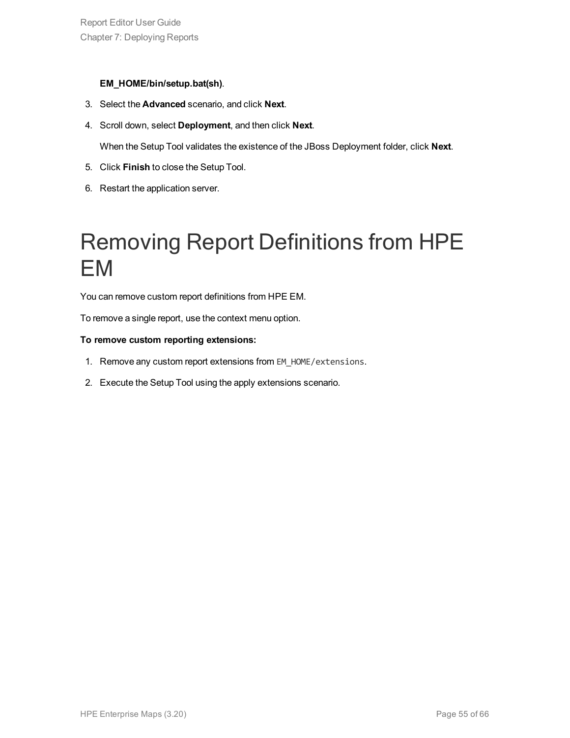#### **EM\_HOME/bin/setup.bat(sh)**.

- 3. Select the **Advanced** scenario, and click **Next**.
- 4. Scroll down, select **Deployment**, and then click **Next**.

When the Setup Tool validates the existence of the JBoss Deployment folder, click **Next**.

- 5. Click **Finish** to close the Setup Tool.
- <span id="page-54-0"></span>6. Restart the application server.

## Removing Report Definitions from HPE EM

You can remove custom report definitions from HPE EM.

To remove a single report, use the context menu option.

#### **To remove custom reporting extensions:**

- 1. Remove any custom report extensions from EM\_HOME/extensions.
- 2. Execute the Setup Tool using the apply extensions scenario.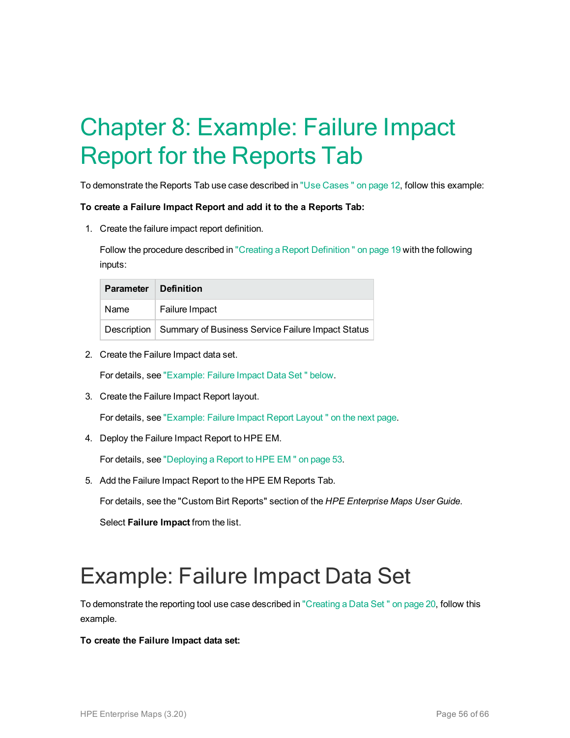# <span id="page-55-0"></span>Chapter 8: Example: Failure Impact Report for the Reports Tab

To demonstrate the Reports Tab use case described in "Use [Cases "](#page-11-0) on page 12, follow this example:

#### **To create a Failure Impact Report and add it to the a Reports Tab:**

1. Create the failure impact report definition.

Follow the procedure described in "Creating a Report Definition" on page 19 with the following inputs:

| <b>Parameter</b> | <b>Definition</b>                                               |  |
|------------------|-----------------------------------------------------------------|--|
| Name             | Failure Impact                                                  |  |
|                  | Description   Summary of Business Service Failure Impact Status |  |

2. Create the Failure Impact data set.

For details, see ["Example:](#page-55-1) Failure Impact Data Set " below.

3. Create the Failure Impact Report layout.

For details, see ["Example:](#page-56-0) Failure Impact Report Layout " on the next page.

4. Deploy the Failure Impact Report to HPE EM.

For details, see ["Deploying](#page-52-1) a Report to HPE EM " on page 53.

5. Add the Failure Impact Report to the HPE EM Reports Tab.

For details, see the "Custom Birt Reports" section of the *HPE Enterprise Maps User Guide*.

Select **Failure Impact** from the list.

### <span id="page-55-1"></span>Example: Failure Impact Data Set

To demonstrate the reporting tool use case described in ["Creating](#page-19-0) a Data Set " on page 20, follow this example.

#### **To create the Failure Impact data set:**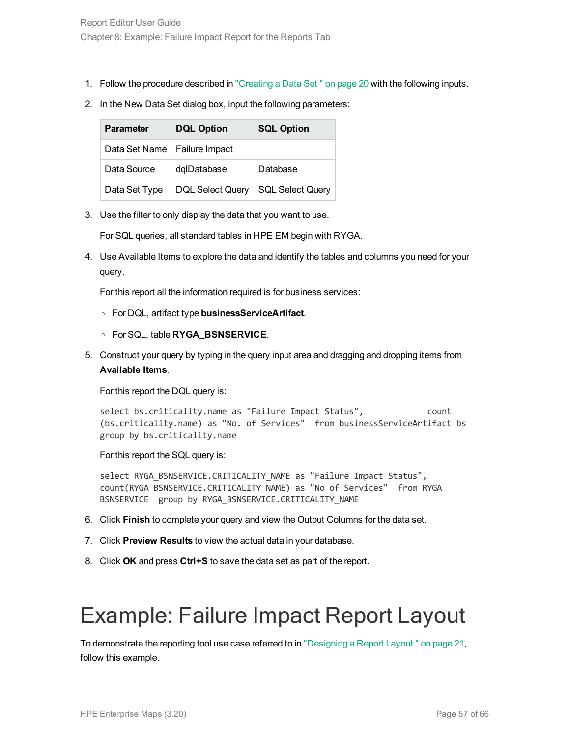- 1. Follow the procedure described in ["Creating](#page-19-0) a Data Set " on page 20 with the following inputs.
- 2. In the New Data Set dialog box, input the following parameters:

| <b>Parameter</b> | <b>DQL Option</b>       | <b>SQL Option</b>       |
|------------------|-------------------------|-------------------------|
| Data Set Name    | Failure Impact          |                         |
| Data Source      | dqlDatabase             | Database                |
| Data Set Type    | <b>DQL Select Query</b> | <b>SQL Select Query</b> |

3. Use the filter to only display the data that you want to use.

For SQL queries, all standard tables in HPE EM begin with RYGA.

4. Use Available Items to explore the data and identify the tables and columns you need for your query.

For this report all the information required is for business services:

- <sup>o</sup> For DQL, artifact type **businessServiceArtifact**.
- <sup>o</sup> For SQL, table **RYGA\_BSNSERVICE**.
- 5. Construct your query by typing in the query input area and dragging and dropping items from **Available Items**.

For this report the DQL query is:

select bs.criticality.name as "Failure Impact Status", count (bs.criticality.name) as "No. of Services" from businessServiceArtifact bs group by bs.criticality.name

For this report the SQL query is:

select RYGA BSNSERVICE.CRITICALITY NAME as "Failure Impact Status", count(RYGA\_BSNSERVICE.CRITICALITY\_NAME) as "No of Services" from RYGA\_ BSNSERVICE group by RYGA BSNSERVICE.CRITICALITY NAME

- 6. Click **Finish** to complete your query and view the Output Columns for the data set.
- 7. Click **Preview Results** to view the actual data in your database.
- <span id="page-56-0"></span>8. Click **OK** and press **Ctrl+S** to save the data set as part of the report.

## Example: Failure Impact Report Layout

To demonstrate the reporting tool use case referred to in ["Designing](#page-20-0) a Report Layout " on page 21, follow this example.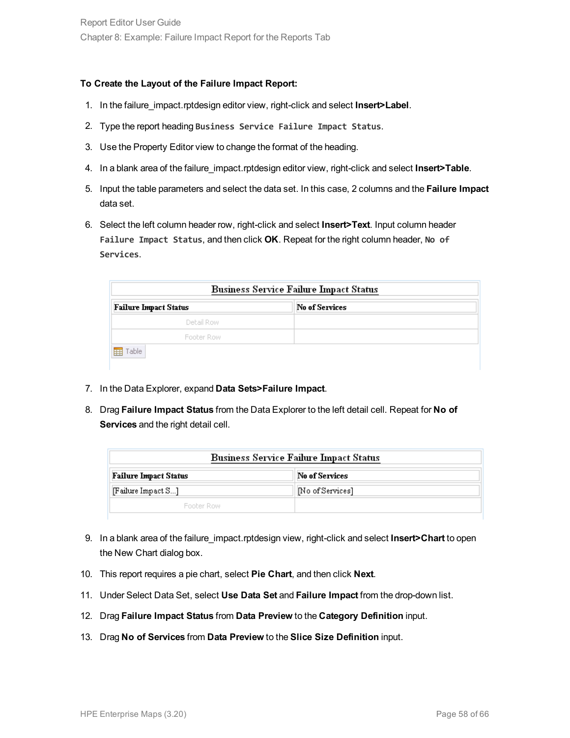#### **To Create the Layout of the Failure Impact Report:**

- 1. In the failure\_impact.rptdesign editor view, right-click and select **Insert>Label**.
- 2. Type the report heading **Business Service Failure Impact Status**.
- 3. Use the Property Editor view to change the format of the heading.
- 4. In a blank area of the failure\_impact.rptdesign editor view, right-click and select **Insert>Table**.
- 5. Input the table parameters and select the data set. In this case, 2 columns and the **Failure Impact** data set.
- 6. Select the left column header row, right-click and select **Insert>Text**. Input column header **Failure Impact Status**, and then click **OK**. Repeat for the right column header, **No of Services**.

| <b>No of Services</b> |
|-----------------------|
|                       |
|                       |
|                       |
|                       |

- 7. In the Data Explorer, expand **Data Sets>Failure Impact**.
- 8. Drag **Failure Impact Status** from the Data Explorer to the left detail cell. Repeat for **No of Services** and the right detail cell.

| <b>Business Service Failure Impact Status</b> |                 |  |
|-----------------------------------------------|-----------------|--|
| <b>Failure Impact Status</b>                  | No of Services  |  |
| [Feature Impact S]                            | No of Services] |  |
| <b>Ennher Row</b>                             |                 |  |

- 9. In a blank area of the failure\_impact.rptdesign view, right-click and select **Insert>Chart** to open the New Chart dialog box.
- 10. This report requires a pie chart, select **Pie Chart**, and then click **Next**.
- 11. Under Select Data Set, select **Use Data Set** and **Failure Impact** from the drop-down list.
- 12. Drag **Failure Impact Status** from **Data Preview** to the **Category Definition** input.
- 13. Drag **No of Services** from **Data Preview** to the **Slice Size Definition** input.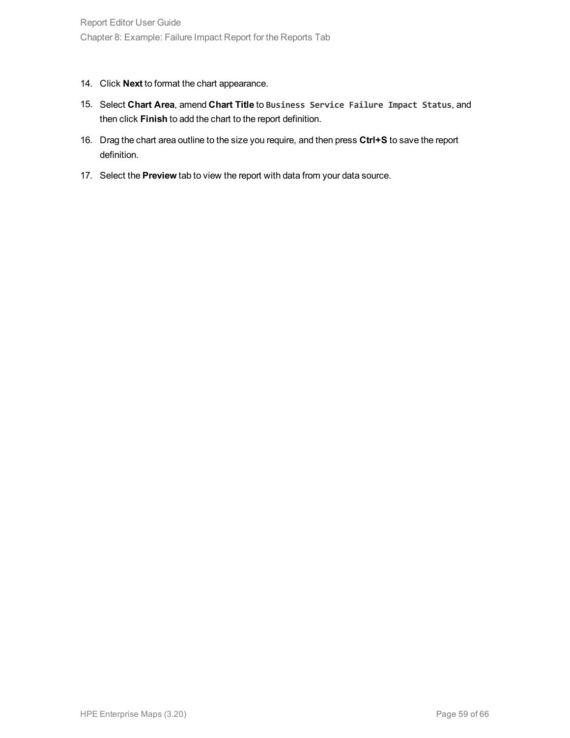- 14. Click **Next** to format the chart appearance.
- 15. Select **Chart Area**, amend **Chart Title** to **Business Service Failure Impact Status**, and then click **Finish** to add the chart to the report definition.
- 16. Drag the chart area outline to the size you require, and then press **Ctrl+S** to save the report definition.
- 17. Select the **Preview** tab to view the report with data from your data source.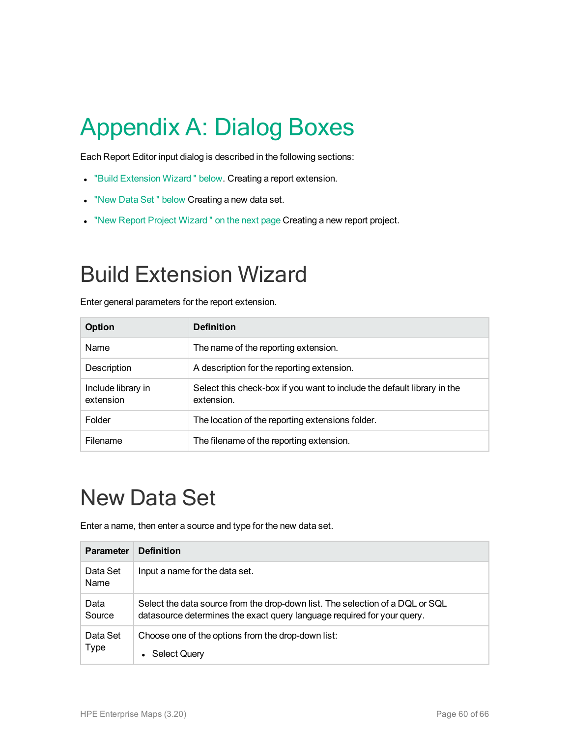# <span id="page-59-0"></span>Appendix A: Dialog Boxes

Each Report Editor input dialog is described in the following sections:

- **.** "Build [Extension](#page-59-1) Wizard " below. Creating a report extension.
- . "New Data Set" [below](#page-59-2) Creating a new data set.
- <span id="page-59-1"></span>. "New Report Project Wizard" on the next page Creating a new report project.

### Build Extension Wizard

Enter general parameters for the report extension.

| <b>Option</b>                   | <b>Definition</b>                                                                     |
|---------------------------------|---------------------------------------------------------------------------------------|
| <b>Name</b>                     | The name of the reporting extension.                                                  |
| Description                     | A description for the reporting extension.                                            |
| Include library in<br>extension | Select this check-box if you want to include the default library in the<br>extension. |
| Folder                          | The location of the reporting extensions folder.                                      |
| Filename                        | The filename of the reporting extension.                                              |

## <span id="page-59-2"></span>New Data Set

Enter a name, then enter a source and type for the new data set.

| <b>Parameter</b>        | <b>Definition</b>                                                                                                                                        |
|-------------------------|----------------------------------------------------------------------------------------------------------------------------------------------------------|
| Data Set<br>Name        | Input a name for the data set.                                                                                                                           |
| Data<br>Source          | Select the data source from the drop-down list. The selection of a DQL or SQL<br>datasource determines the exact query language required for your query. |
| Data Set<br><b>Type</b> | Choose one of the options from the drop-down list:<br>Select Query<br>$\bullet$                                                                          |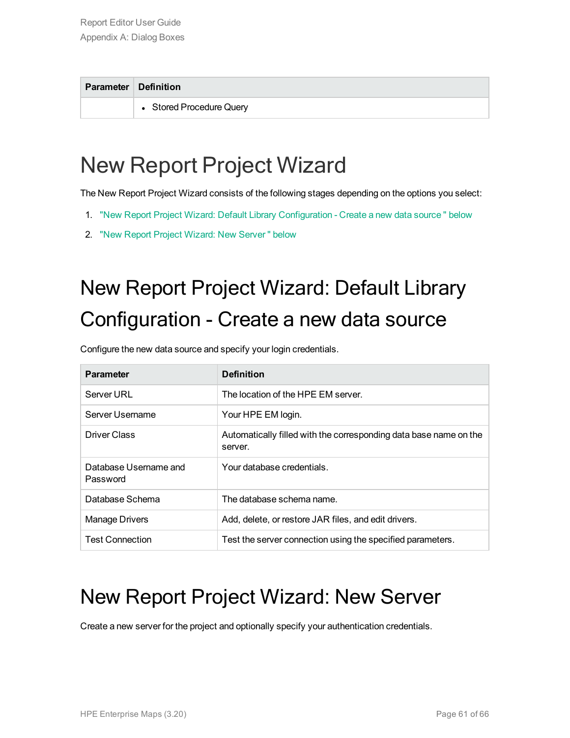| <b>Parameter Definition</b> |
|-----------------------------|
| • Stored Procedure Query    |
|                             |

## <span id="page-60-0"></span>New Report Project Wizard

The New Report Project Wizard consists of the following stages depending on the options you select:

- 1. "New Report Project Wizard: Default Library [Configuration](#page-60-1) Create a new data source " below
- <span id="page-60-1"></span>2. "New Report Project Wizard: New [Server "](#page-60-2) below

## New Report Project Wizard: Default Library Configuration - Create a new data source

Configure the new data source and specify your login credentials.

| <b>Parameter</b>                  | <b>Definition</b>                                                            |
|-----------------------------------|------------------------------------------------------------------------------|
| Server URL                        | The location of the HPE EM server.                                           |
| Server Username                   | Your HPE EM login.                                                           |
| Driver Class                      | Automatically filled with the corresponding data base name on the<br>server. |
| Database Username and<br>Password | Your database credentials.                                                   |
| Database Schema                   | The database schema name.                                                    |
| Manage Drivers                    | Add, delete, or restore JAR files, and edit drivers.                         |
| <b>Test Connection</b>            | Test the server connection using the specified parameters.                   |

### <span id="page-60-2"></span>New Report Project Wizard: New Server

Create a new server for the project and optionally specify your authentication credentials.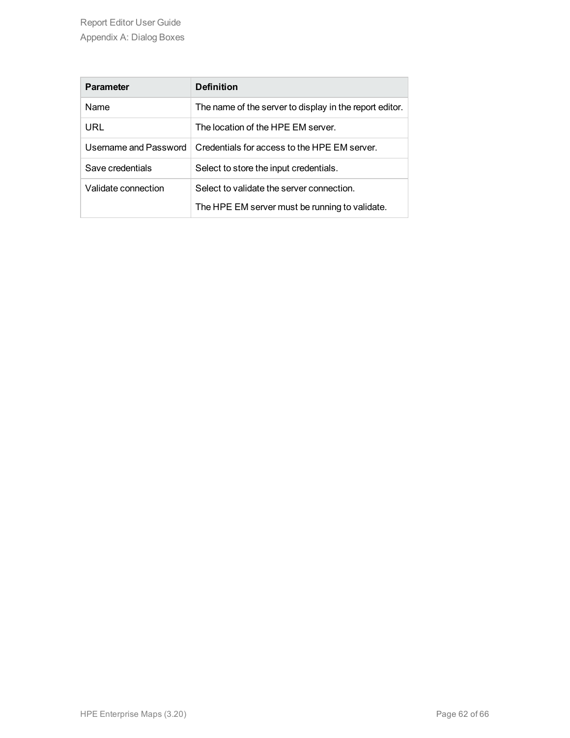| <b>Parameter</b>      | <b>Definition</b>                                       |
|-----------------------|---------------------------------------------------------|
| <b>Name</b>           | The name of the server to display in the report editor. |
| URL                   | The location of the HPE EM server.                      |
| Username and Password | Credentials for access to the HPE EM server.            |
| Save credentials      | Select to store the input credentials.                  |
| Validate connection   | Select to validate the server connection.               |
|                       | The HPE EM server must be running to validate.          |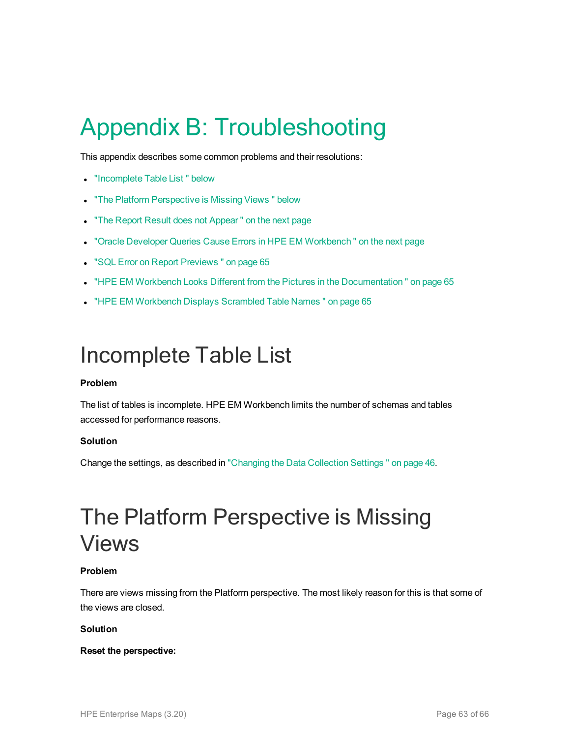# <span id="page-62-0"></span>Appendix B: Troubleshooting

This appendix describes some common problems and their resolutions:

- ["Incomplete](#page-62-1) Table List" below
- "The Platform [Perspective](#page-62-2) is Missing Views " below
- "The Report Result does not Appear" on the next page
- "Oracle Developer Queries Cause Errors in HPE EM Workbench" on the next page
- **.** "SQL Error on Report [Previews "](#page-64-0) on page 65
- "HPE EM Workbench Looks Different from the Pictures in the Documentation" on page 65
- <span id="page-62-1"></span>• "HPE EM [Workbench](#page-64-2) Displays Scrambled Table Names" on page 65

### Incomplete Table List

#### **Problem**

The list of tables is incomplete. HPE EM Workbench limits the number of schemas and tables accessed for performance reasons.

#### **Solution**

<span id="page-62-2"></span>Change the settings, as described in ["Changing](#page-45-1) the Data Collection Settings " on page 46.

### The Platform Perspective is Missing Views

#### **Problem**

There are views missing from the Platform perspective. The most likely reason for this is that some of the views are closed.

#### **Solution**

#### **Reset the perspective:**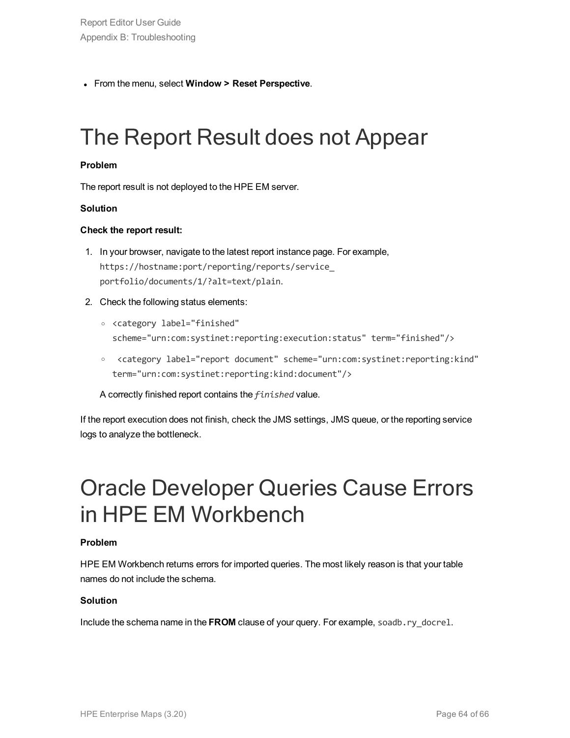<span id="page-63-0"></span><sup>l</sup> From the menu, select **Window > Reset Perspective**.

## The Report Result does not Appear

#### **Problem**

The report result is not deployed to the HPE EM server.

#### **Solution**

#### **Check the report result:**

- 1. In your browser, navigate to the latest report instance page. For example, https://hostname:port/reporting/reports/service\_ portfolio/documents/1/?alt=text/plain.
- 2. Check the following status elements:
	- <sup>o</sup> <category label="finished" scheme="urn:com:systinet:reporting:execution:status" term="finished"/>
	- <sup>o</sup> <category label="report document" scheme="urn:com:systinet:reporting:kind" term="urn:com:systinet:reporting:kind:document"/>

A correctly finished report contains the *finished* value.

If the report execution does not finish, check the JMS settings, JMS queue, or the reporting service logs to analyze the bottleneck.

### <span id="page-63-1"></span>Oracle Developer Queries Cause Errors in HPE EM Workbench

#### **Problem**

HPE EM Workbench returns errors for imported queries. The most likely reason is that your table names do not include the schema.

#### **Solution**

Include the schema name in the **FROM** clause of your query. For example, soadb.ry\_docrel.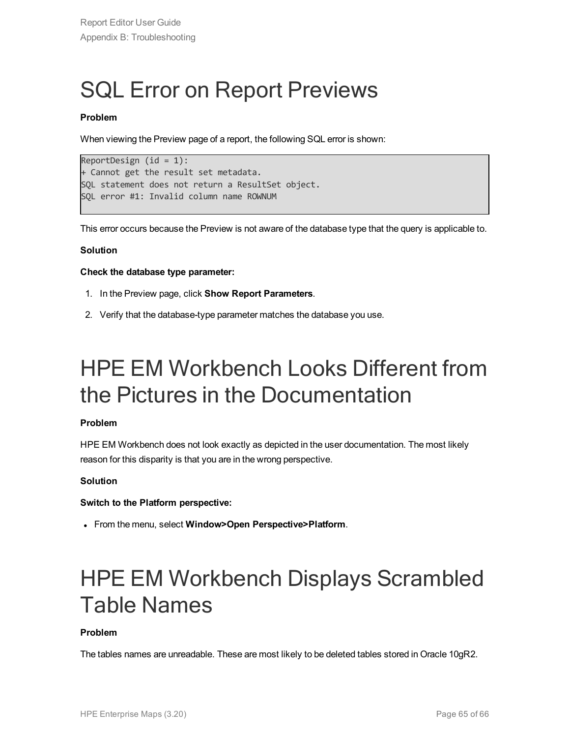## <span id="page-64-0"></span>SQL Error on Report Previews

#### **Problem**

When viewing the Preview page of a report, the following SQL error is shown:

```
ReportDesign (id = 1):+ Cannot get the result set metadata.
SQL statement does not return a ResultSet object.
SQL error #1: Invalid column name ROWNUM
```
This error occurs because the Preview is not aware of the database type that the query is applicable to.

#### **Solution**

#### **Check the database type parameter:**

- 1. In the Preview page, click **Show Report Parameters**.
- <span id="page-64-1"></span>2. Verify that the database-type parameter matches the database you use.

### HPE EM Workbench Looks Different from the Pictures in the Documentation

#### **Problem**

HPE EM Workbench does not look exactly as depicted in the user documentation. The most likely reason for this disparity is that you are in the wrong perspective.

#### **Solution**

#### **Switch to the Platform perspective:**

<span id="page-64-2"></span><sup>l</sup> From the menu, select **Window>Open Perspective>Platform**.

## HPE EM Workbench Displays Scrambled Table Names

#### **Problem**

The tables names are unreadable. These are most likely to be deleted tables stored in Oracle 10gR2.